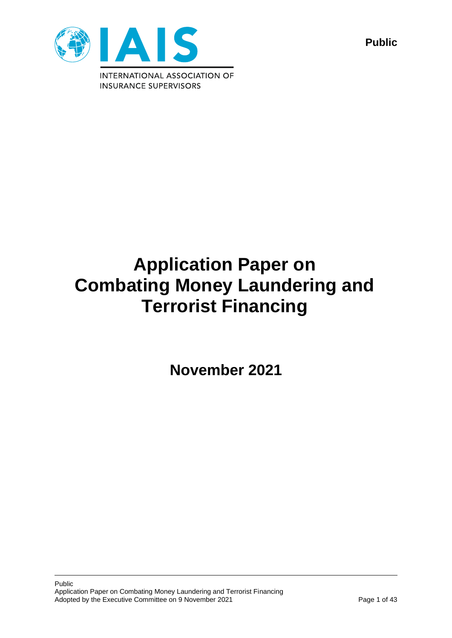

**Public**

# **Application Paper on Combating Money Laundering and Terrorist Financing**

**November 2021**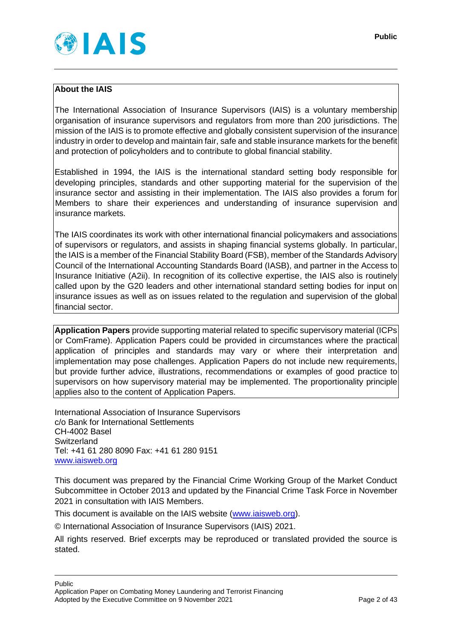## **About the IAIS**

The International Association of Insurance Supervisors (IAIS) is a voluntary membership organisation of insurance supervisors and regulators from more than 200 jurisdictions. The mission of the IAIS is to promote effective and globally consistent supervision of the insurance industry in order to develop and maintain fair, safe and stable insurance markets for the benefit and protection of policyholders and to contribute to global financial stability.

Established in 1994, the IAIS is the international standard setting body responsible for developing principles, standards and other supporting material for the supervision of the insurance sector and assisting in their implementation. The IAIS also provides a forum for Members to share their experiences and understanding of insurance supervision and insurance markets.

The IAIS coordinates its work with other international financial policymakers and associations of supervisors or regulators, and assists in shaping financial systems globally. In particular, the IAIS is a member of the Financial Stability Board (FSB), member of the Standards Advisory Council of the International Accounting Standards Board (IASB), and partner in the Access to Insurance Initiative (A2ii). In recognition of its collective expertise, the IAIS also is routinely called upon by the G20 leaders and other international standard setting bodies for input on insurance issues as well as on issues related to the regulation and supervision of the global financial sector.

**Application Papers** provide supporting material related to specific supervisory material (ICPs or ComFrame). Application Papers could be provided in circumstances where the practical application of principles and standards may vary or where their interpretation and implementation may pose challenges. Application Papers do not include new requirements, but provide further advice, illustrations, recommendations or examples of good practice to supervisors on how supervisory material may be implemented. The proportionality principle applies also to the content of Application Papers.

International Association of Insurance Supervisors c/o Bank for International Settlements CH-4002 Basel **Switzerland** Tel: +41 61 280 8090 Fax: +41 61 280 9151 [www.iaisweb.org](http://www.iaisweb.org/)

This document was prepared by the Financial Crime Working Group of the Market Conduct Subcommittee in October 2013 and updated by the Financial Crime Task Force in November 2021 in consultation with IAIS Members.

This document is available on the IAIS website [\(www.iaisweb.org\)](http://www.iaisweb.org/).

© International Association of Insurance Supervisors (IAIS) 2021.

All rights reserved. Brief excerpts may be reproduced or translated provided the source is stated.

Public Application Paper on Combating Money Laundering and Terrorist Financing Adopted by the Executive Committee on 9 November 2021 Page 2 of 43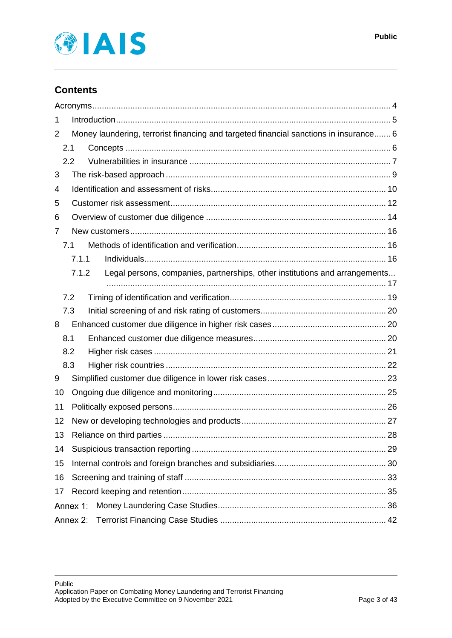

# **Contents**

| 1        |                                                                                       |                                                                             |  |  |  |
|----------|---------------------------------------------------------------------------------------|-----------------------------------------------------------------------------|--|--|--|
| 2        | Money laundering, terrorist financing and targeted financial sanctions in insurance 6 |                                                                             |  |  |  |
|          | 2.1                                                                                   |                                                                             |  |  |  |
|          | 2.2                                                                                   |                                                                             |  |  |  |
| 3        |                                                                                       |                                                                             |  |  |  |
| 4        |                                                                                       |                                                                             |  |  |  |
| 5        |                                                                                       |                                                                             |  |  |  |
| 6        |                                                                                       |                                                                             |  |  |  |
| 7        |                                                                                       |                                                                             |  |  |  |
|          | 7.1                                                                                   |                                                                             |  |  |  |
|          | 7.1.1                                                                                 |                                                                             |  |  |  |
|          | 7.1.2                                                                                 | Legal persons, companies, partnerships, other institutions and arrangements |  |  |  |
|          | 7.2                                                                                   |                                                                             |  |  |  |
|          | 7.3                                                                                   |                                                                             |  |  |  |
| 8        |                                                                                       |                                                                             |  |  |  |
|          | 8.1                                                                                   |                                                                             |  |  |  |
|          | 8.2                                                                                   |                                                                             |  |  |  |
|          | 8.3                                                                                   |                                                                             |  |  |  |
| 9        |                                                                                       |                                                                             |  |  |  |
| 10       |                                                                                       |                                                                             |  |  |  |
| 11       |                                                                                       |                                                                             |  |  |  |
| 12       |                                                                                       |                                                                             |  |  |  |
| 13       |                                                                                       |                                                                             |  |  |  |
| 14       |                                                                                       |                                                                             |  |  |  |
| 15       |                                                                                       |                                                                             |  |  |  |
| 16       |                                                                                       |                                                                             |  |  |  |
| 17       |                                                                                       |                                                                             |  |  |  |
| Annex 1: |                                                                                       |                                                                             |  |  |  |
| Annex 2: |                                                                                       |                                                                             |  |  |  |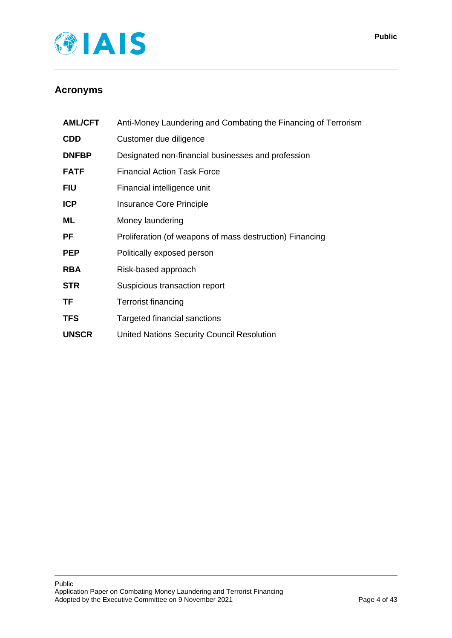

# <span id="page-3-0"></span>**Acronyms**

| <b>AML/CFT</b> | Anti-Money Laundering and Combating the Financing of Terrorism |
|----------------|----------------------------------------------------------------|
| <b>CDD</b>     | Customer due diligence                                         |
| <b>DNFBP</b>   | Designated non-financial businesses and profession             |
| <b>FATF</b>    | <b>Financial Action Task Force</b>                             |
| <b>FIU</b>     | Financial intelligence unit                                    |
| <b>ICP</b>     | Insurance Core Principle                                       |
| ML             | Money laundering                                               |
| PF             | Proliferation (of weapons of mass destruction) Financing       |
| <b>PEP</b>     | Politically exposed person                                     |
| <b>RBA</b>     | Risk-based approach                                            |
| <b>STR</b>     | Suspicious transaction report                                  |
| <b>TF</b>      | <b>Terrorist financing</b>                                     |
| <b>TFS</b>     | Targeted financial sanctions                                   |
| <b>UNSCR</b>   | <b>United Nations Security Council Resolution</b>              |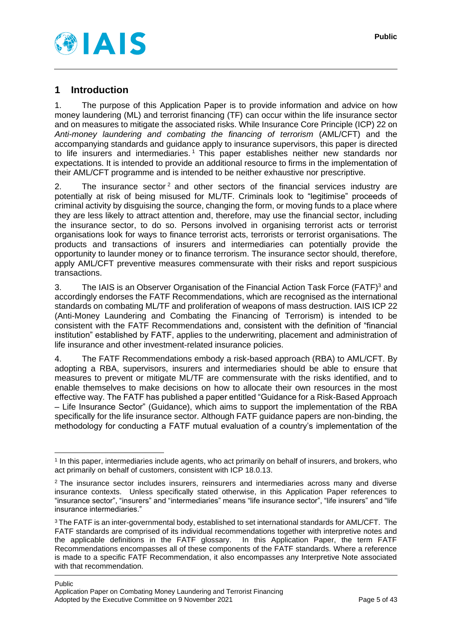

## <span id="page-4-0"></span>**1 Introduction**

1. The purpose of this Application Paper is to provide information and advice on how money laundering (ML) and terrorist financing (TF) can occur within the life insurance sector and on measures to mitigate the associated risks. While Insurance Core Principle (ICP) 22 on *Anti-money laundering and combating the financing of terrorism* (AML/CFT) and the accompanying standards and guidance apply to insurance supervisors, this paper is directed to life insurers and intermediaries. <sup>1</sup> This paper establishes neither new standards nor expectations. It is intended to provide an additional resource to firms in the implementation of their AML/CFT programme and is intended to be neither exhaustive nor prescriptive.

2. The insurance sector<sup>2</sup> and other sectors of the financial services industry are potentially at risk of being misused for ML/TF. Criminals look to "legitimise" proceeds of criminal activity by disguising the source, changing the form, or moving funds to a place where they are less likely to attract attention and, therefore, may use the financial sector, including the insurance sector, to do so. Persons involved in organising terrorist acts or terrorist organisations look for ways to finance terrorist acts, terrorists or terrorist organisations. The products and transactions of insurers and intermediaries can potentially provide the opportunity to launder money or to finance terrorism. The insurance sector should, therefore, apply AML/CFT preventive measures commensurate with their risks and report suspicious transactions.

3. The IAIS is an Observer Organisation of the Financial Action Task Force (FATF)<sup>3</sup> and accordingly endorses the FATF Recommendations, which are recognised as the international standards on combating ML/TF and proliferation of weapons of mass destruction. IAIS ICP 22 (Anti-Money Laundering and Combating the Financing of Terrorism) is intended to be consistent with the FATF Recommendations and, consistent with the definition of "financial institution" established by FATF, applies to the underwriting, placement and administration of life insurance and other investment-related insurance policies.

4. The FATF Recommendations embody a risk-based approach (RBA) to AML/CFT. By adopting a RBA, supervisors, insurers and intermediaries should be able to ensure that measures to prevent or mitigate ML/TF are commensurate with the risks identified, and to enable themselves to make decisions on how to allocate their own resources in the most effective way. The FATF has published a paper entitled "Guidance for a Risk-Based Approach – Life Insurance Sector" (Guidance), which aims to support the implementation of the RBA specifically for the life insurance sector. Although FATF guidance papers are non-binding, the methodology for conducting a FATF mutual evaluation of a country's implementation of the

<sup>1</sup> In this paper, intermediaries include agents, who act primarily on behalf of insurers, and brokers, who act primarily on behalf of customers, consistent with ICP 18.0.13.

<sup>&</sup>lt;sup>2</sup> The insurance sector includes insurers, reinsurers and intermediaries across many and diverse insurance contexts. Unless specifically stated otherwise, in this Application Paper references to "insurance sector", "insurers" and "intermediaries" means "life insurance sector", "life insurers" and "life insurance intermediaries."

<sup>&</sup>lt;sup>3</sup> The FATF is an inter-governmental body, established to set international standards for AML/CFT. The FATF standards are comprised of its individual recommendations together with interpretive notes and the applicable definitions in the FATF glossary. In this Application Paper, the term FATF Recommendations encompasses all of these components of the FATF standards. Where a reference is made to a specific FATF Recommendation, it also encompasses any Interpretive Note associated with that recommendation.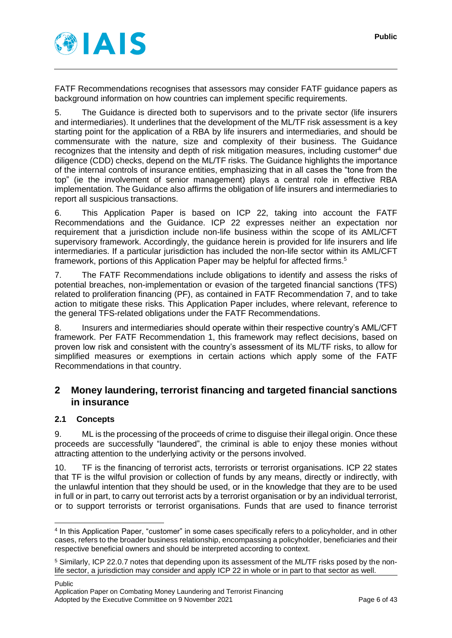

FATF Recommendations recognises that assessors may consider FATF guidance papers as background information on how countries can implement specific requirements.

5. The Guidance is directed both to supervisors and to the private sector (life insurers and intermediaries). It underlines that the development of the ML/TF risk assessment is a key starting point for the application of a RBA by life insurers and intermediaries, and should be commensurate with the nature, size and complexity of their business. The Guidance recognizes that the intensity and depth of risk mitigation measures, including customer<sup>4</sup> due diligence (CDD) checks, depend on the ML/TF risks. The Guidance highlights the importance of the internal controls of insurance entities, emphasizing that in all cases the "tone from the top" (ie the involvement of senior management) plays a central role in effective RBA implementation. The Guidance also affirms the obligation of life insurers and intermediaries to report all suspicious transactions.

6. This Application Paper is based on ICP 22, taking into account the FATF Recommendations and the Guidance. ICP 22 expresses neither an expectation nor requirement that a jurisdiction include non-life business within the scope of its AML/CFT supervisory framework. Accordingly, the guidance herein is provided for life insurers and life intermediaries. If a particular jurisdiction has included the non-life sector within its AML/CFT framework, portions of this Application Paper may be helpful for affected firms.<sup>5</sup>

7. The FATF Recommendations include obligations to identify and assess the risks of potential breaches, non-implementation or evasion of the targeted financial sanctions (TFS) related to proliferation financing (PF), as contained in FATF Recommendation 7, and to take action to mitigate these risks. This Application Paper includes, where relevant, reference to the general TFS-related obligations under the FATF Recommendations.

8. Insurers and intermediaries should operate within their respective country's AML/CFT framework. Per FATF Recommendation 1, this framework may reflect decisions, based on proven low risk and consistent with the country's assessment of its ML/TF risks, to allow for simplified measures or exemptions in certain actions which apply some of the FATF Recommendations in that country.

## <span id="page-5-0"></span>**2 Money laundering, terrorist financing and targeted financial sanctions in insurance**

#### <span id="page-5-1"></span>**2.1 Concepts**

9. ML is the processing of the proceeds of crime to disguise their illegal origin. Once these proceeds are successfully "laundered", the criminal is able to enjoy these monies without attracting attention to the underlying activity or the persons involved.

10. TF is the financing of terrorist acts, terrorists or terrorist organisations. ICP 22 states that TF is the wilful provision or collection of funds by any means, directly or indirectly, with the unlawful intention that they should be used, or in the knowledge that they are to be used in full or in part, to carry out terrorist acts by a terrorist organisation or by an individual terrorist, or to support terrorists or terrorist organisations. Funds that are used to finance terrorist

<sup>4</sup> In this Application Paper, "customer" in some cases specifically refers to a policyholder, and in other cases, refers to the broader business relationship, encompassing a policyholder, beneficiaries and their respective beneficial owners and should be interpreted according to context.

<sup>5</sup> Similarly, ICP 22.0.7 notes that depending upon its assessment of the ML/TF risks posed by the nonlife sector, a jurisdiction may consider and apply ICP 22 in whole or in part to that sector as well.

Public Application Paper on Combating Money Laundering and Terrorist Financing Adopted by the Executive Committee on 9 November 2021 Page 6 of 43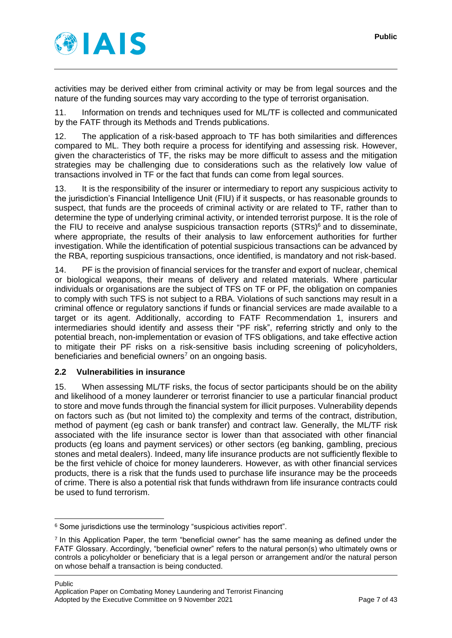

activities may be derived either from criminal activity or may be from legal sources and the nature of the funding sources may vary according to the type of terrorist organisation.

11. Information on trends and techniques used for ML/TF is collected and communicated by the FATF through its Methods and Trends publications.

12. The application of a risk-based approach to TF has both similarities and differences compared to ML. They both require a process for identifying and assessing risk. However, given the characteristics of TF, the risks may be more difficult to assess and the mitigation strategies may be challenging due to considerations such as the relatively low value of transactions involved in TF or the fact that funds can come from legal sources.

13. It is the responsibility of the insurer or intermediary to report any suspicious activity to the jurisdiction's Financial Intelligence Unit (FIU) if it suspects, or has reasonable grounds to suspect, that funds are the proceeds of criminal activity or are related to TF, rather than to determine the type of underlying criminal activity, or intended terrorist purpose. It is the role of the FIU to receive and analyse suspicious transaction reports (STRs)<sup>6</sup> and to disseminate, where appropriate, the results of their analysis to law enforcement authorities for further investigation. While the identification of potential suspicious transactions can be advanced by the RBA, reporting suspicious transactions, once identified, is mandatory and not risk-based.

14. PF is the provision of financial services for the transfer and export of nuclear, chemical or biological weapons, their means of delivery and related materials. Where particular individuals or organisations are the subject of TFS on TF or PF, the obligation on companies to comply with such TFS is not subject to a RBA. Violations of such sanctions may result in a criminal offence or regulatory sanctions if funds or financial services are made available to a target or its agent. Additionally, according to FATF Recommendation 1, insurers and intermediaries should identify and assess their "PF risk", referring strictly and only to the potential breach, non-implementation or evasion of TFS obligations, and take effective action to mitigate their PF risks on a risk-sensitive basis including screening of policyholders, beneficiaries and beneficial owners<sup>7</sup> on an ongoing basis.

#### <span id="page-6-0"></span>**2.2 Vulnerabilities in insurance**

15. When assessing ML/TF risks, the focus of sector participants should be on the ability and likelihood of a money launderer or terrorist financier to use a particular financial product to store and move funds through the financial system for illicit purposes. Vulnerability depends on factors such as (but not limited to) the complexity and terms of the contract, distribution, method of payment (eg cash or bank transfer) and contract law. Generally, the ML/TF risk associated with the life insurance sector is lower than that associated with other financial products (eg loans and payment services) or other sectors (eg banking, gambling, precious stones and metal dealers). Indeed, many life insurance products are not sufficiently flexible to be the first vehicle of choice for money launderers. However, as with other financial services products, there is a risk that the funds used to purchase life insurance may be the proceeds of crime. There is also a potential risk that funds withdrawn from life insurance contracts could be used to fund terrorism.

<sup>&</sup>lt;sup>6</sup> Some jurisdictions use the terminology "suspicious activities report".

<sup>7</sup> In this Application Paper, the term "beneficial owner" has the same meaning as defined under the FATF Glossary. Accordingly, "beneficial owner" refers to the natural person(s) who ultimately owns or controls a policyholder or beneficiary that is a legal person or arrangement and/or the natural person on whose behalf a transaction is being conducted.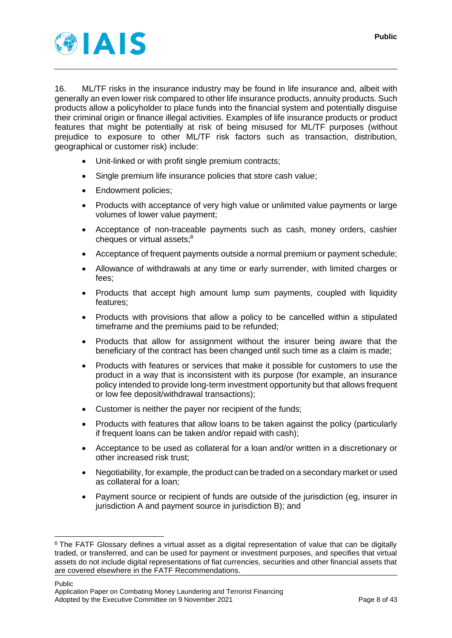

16. ML/TF risks in the insurance industry may be found in life insurance and, albeit with generally an even lower risk compared to other life insurance products, annuity products. Such products allow a policyholder to place funds into the financial system and potentially disguise their criminal origin or finance illegal activities. Examples of life insurance products or product features that might be potentially at risk of being misused for ML/TF purposes (without prejudice to exposure to other ML/TF risk factors such as transaction, distribution, geographical or customer risk) include:

- Unit-linked or with profit single premium contracts;
- Single premium life insurance policies that store cash value;
- Endowment policies;
- Products with acceptance of very high value or unlimited value payments or large volumes of lower value payment;
- Acceptance of non-traceable payments such as cash, money orders, cashier cheques or virtual assets;<sup>8</sup>
- Acceptance of frequent payments outside a normal premium or payment schedule;
- Allowance of withdrawals at any time or early surrender, with limited charges or fees;
- Products that accept high amount lump sum payments, coupled with liquidity features;
- Products with provisions that allow a policy to be cancelled within a stipulated timeframe and the premiums paid to be refunded;
- Products that allow for assignment without the insurer being aware that the beneficiary of the contract has been changed until such time as a claim is made;
- Products with features or services that make it possible for customers to use the product in a way that is inconsistent with its purpose (for example, an insurance policy intended to provide long-term investment opportunity but that allows frequent or low fee deposit/withdrawal transactions);
- Customer is neither the payer nor recipient of the funds;
- Products with features that allow loans to be taken against the policy (particularly if frequent loans can be taken and/or repaid with cash);
- Acceptance to be used as collateral for a loan and/or written in a discretionary or other increased risk trust;
- Negotiability, for example, the product can be traded on a secondary market or used as collateral for a loan;
- Payment source or recipient of funds are outside of the jurisdiction (eg, insurer in jurisdiction A and payment source in jurisdiction B); and

<sup>&</sup>lt;sup>8</sup> The FATF Glossary defines a virtual asset as a digital representation of value that can be digitally traded, or transferred, and can be used for payment or investment purposes, and specifies that virtual assets do not include digital representations of fiat currencies, securities and other financial assets that are covered elsewhere in the FATF Recommendations.

Public Application Paper on Combating Money Laundering and Terrorist Financing Adopted by the Executive Committee on 9 November 2021 Page 8 of 43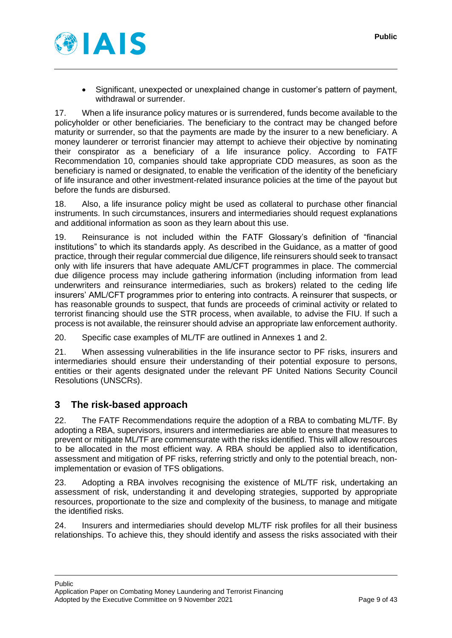

• Significant, unexpected or unexplained change in customer's pattern of payment, withdrawal or surrender.

17. When a life insurance policy matures or is surrendered, funds become available to the policyholder or other beneficiaries. The beneficiary to the contract may be changed before maturity or surrender, so that the payments are made by the insurer to a new beneficiary. A money launderer or terrorist financier may attempt to achieve their objective by nominating their conspirator as a beneficiary of a life insurance policy. According to FATF Recommendation 10, companies should take appropriate CDD measures, as soon as the beneficiary is named or designated, to enable the verification of the identity of the beneficiary of life insurance and other investment-related insurance policies at the time of the payout but before the funds are disbursed.

18. Also, a life insurance policy might be used as collateral to purchase other financial instruments. In such circumstances, insurers and intermediaries should request explanations and additional information as soon as they learn about this use.

19. Reinsurance is not included within the FATF Glossary's definition of "financial institutions" to which its standards apply. As described in the Guidance, as a matter of good practice, through their regular commercial due diligence, life reinsurers should seek to transact only with life insurers that have adequate AML/CFT programmes in place. The commercial due diligence process may include gathering information (including information from lead underwriters and reinsurance intermediaries, such as brokers) related to the ceding life insurers' AML/CFT programmes prior to entering into contracts. A reinsurer that suspects, or has reasonable grounds to suspect, that funds are proceeds of criminal activity or related to terrorist financing should use the STR process, when available, to advise the FIU. If such a process is not available, the reinsurer should advise an appropriate law enforcement authority.

20. Specific case examples of ML/TF are outlined in Annexes 1 and 2.

21. When assessing vulnerabilities in the life insurance sector to PF risks, insurers and intermediaries should ensure their understanding of their potential exposure to persons, entities or their agents designated under the relevant PF United Nations Security Council Resolutions (UNSCRs).

## <span id="page-8-0"></span>**3 The risk-based approach**

22. The FATF Recommendations require the adoption of a RBA to combating ML/TF. By adopting a RBA, supervisors, insurers and intermediaries are able to ensure that measures to prevent or mitigate ML/TF are commensurate with the risks identified. This will allow resources to be allocated in the most efficient way. A RBA should be applied also to identification, assessment and mitigation of PF risks, referring strictly and only to the potential breach, nonimplementation or evasion of TFS obligations.

23. Adopting a RBA involves recognising the existence of ML/TF risk, undertaking an assessment of risk, understanding it and developing strategies, supported by appropriate resources, proportionate to the size and complexity of the business, to manage and mitigate the identified risks.

24. Insurers and intermediaries should develop ML/TF risk profiles for all their business relationships. To achieve this, they should identify and assess the risks associated with their

Public

Application Paper on Combating Money Laundering and Terrorist Financing Adopted by the Executive Committee on 9 November 2021 Page 9 of 43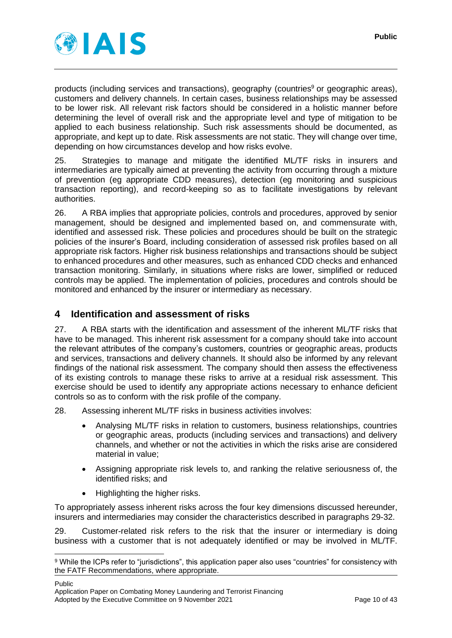

products (including services and transactions), geography (countries<sup>9</sup> or geographic areas), customers and delivery channels. In certain cases, business relationships may be assessed to be lower risk. All relevant risk factors should be considered in a holistic manner before determining the level of overall risk and the appropriate level and type of mitigation to be applied to each business relationship. Such risk assessments should be documented, as appropriate, and kept up to date. Risk assessments are not static. They will change over time, depending on how circumstances develop and how risks evolve.

25. Strategies to manage and mitigate the identified ML/TF risks in insurers and intermediaries are typically aimed at preventing the activity from occurring through a mixture of prevention (eg appropriate CDD measures), detection (eg monitoring and suspicious transaction reporting), and record-keeping so as to facilitate investigations by relevant authorities.

26. A RBA implies that appropriate policies, controls and procedures, approved by senior management, should be designed and implemented based on, and commensurate with, identified and assessed risk. These policies and procedures should be built on the strategic policies of the insurer's Board, including consideration of assessed risk profiles based on all appropriate risk factors. Higher risk business relationships and transactions should be subject to enhanced procedures and other measures, such as enhanced CDD checks and enhanced transaction monitoring. Similarly, in situations where risks are lower, simplified or reduced controls may be applied. The implementation of policies, procedures and controls should be monitored and enhanced by the insurer or intermediary as necessary.

## <span id="page-9-0"></span>**4 Identification and assessment of risks**

27. A RBA starts with the identification and assessment of the inherent ML/TF risks that have to be managed. This inherent risk assessment for a company should take into account the relevant attributes of the company's customers, countries or geographic areas, products and services, transactions and delivery channels. It should also be informed by any relevant findings of the national risk assessment. The company should then assess the effectiveness of its existing controls to manage these risks to arrive at a residual risk assessment. This exercise should be used to identify any appropriate actions necessary to enhance deficient controls so as to conform with the risk profile of the company.

28. Assessing inherent ML/TF risks in business activities involves:

- Analysing ML/TF risks in relation to customers, business relationships, countries or geographic areas, products (including services and transactions) and delivery channels, and whether or not the activities in which the risks arise are considered material in value;
- Assigning appropriate risk levels to, and ranking the relative seriousness of, the identified risks; and
- Highlighting the higher risks.

To appropriately assess inherent risks across the four key dimensions discussed hereunder, insurers and intermediaries may consider the characteristics described in paragraphs [29](#page-9-1)[-32.](#page-10-0)

<span id="page-9-1"></span>29. Customer-related risk refers to the risk that the insurer or intermediary is doing business with a customer that is not adequately identified or may be involved in ML/TF.

Public

<sup>9</sup> While the ICPs refer to "jurisdictions", this application paper also uses "countries" for consistency with the FATF Recommendations, where appropriate.

Application Paper on Combating Money Laundering and Terrorist Financing Adopted by the Executive Committee on 9 November 2021 Page 10 of 43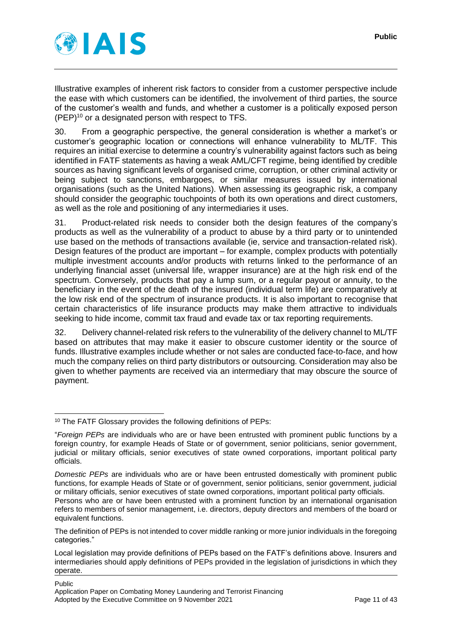

Illustrative examples of inherent risk factors to consider from a customer perspective include the ease with which customers can be identified, the involvement of third parties, the source of the customer's wealth and funds, and whether a customer is a politically exposed person  $(PEP)^{10}$  or a designated person with respect to TFS.

30. From a geographic perspective, the general consideration is whether a market's or customer's geographic location or connections will enhance vulnerability to ML/TF. This requires an initial exercise to determine a country's vulnerability against factors such as being identified in FATF statements as having a weak AML/CFT regime, being identified by credible sources as having significant levels of organised crime, corruption, or other criminal activity or being subject to sanctions, embargoes, or similar measures issued by international organisations (such as the United Nations). When assessing its geographic risk, a company should consider the geographic touchpoints of both its own operations and direct customers, as well as the role and positioning of any intermediaries it uses.

31. Product-related risk needs to consider both the design features of the company's products as well as the vulnerability of a product to abuse by a third party or to unintended use based on the methods of transactions available (ie, service and transaction-related risk). Design features of the product are important – for example, complex products with potentially multiple investment accounts and/or products with returns linked to the performance of an underlying financial asset (universal life, wrapper insurance) are at the high risk end of the spectrum. Conversely, products that pay a lump sum, or a regular payout or annuity, to the beneficiary in the event of the death of the insured (individual term life) are comparatively at the low risk end of the spectrum of insurance products. It is also important to recognise that certain characteristics of life insurance products may make them attractive to individuals seeking to hide income, commit tax fraud and evade tax or tax reporting requirements.

<span id="page-10-0"></span>32. Delivery channel-related risk refers to the vulnerability of the delivery channel to ML/TF based on attributes that may make it easier to obscure customer identity or the source of funds. Illustrative examples include whether or not sales are conducted face-to-face, and how much the company relies on third party distributors or outsourcing. Consideration may also be given to whether payments are received via an intermediary that may obscure the source of payment.

refers to members of senior management, i.e. directors, deputy directors and members of the board or equivalent functions.

<sup>10</sup> The FATF Glossary provides the following definitions of PEPs:

<sup>&</sup>quot;*Foreign PEPs* are individuals who are or have been entrusted with prominent public functions by a foreign country, for example Heads of State or of government, senior politicians, senior government, judicial or military officials, senior executives of state owned corporations, important political party officials.

*Domestic PEPs* are individuals who are or have been entrusted domestically with prominent public functions, for example Heads of State or of government, senior politicians, senior government, judicial or military officials, senior executives of state owned corporations, important political party officials. Persons who are or have been entrusted with a prominent function by an international organisation

The definition of PEPs is not intended to cover middle ranking or more junior individuals in the foregoing categories."

Local legislation may provide definitions of PEPs based on the FATF's definitions above. Insurers and intermediaries should apply definitions of PEPs provided in the legislation of jurisdictions in which they operate.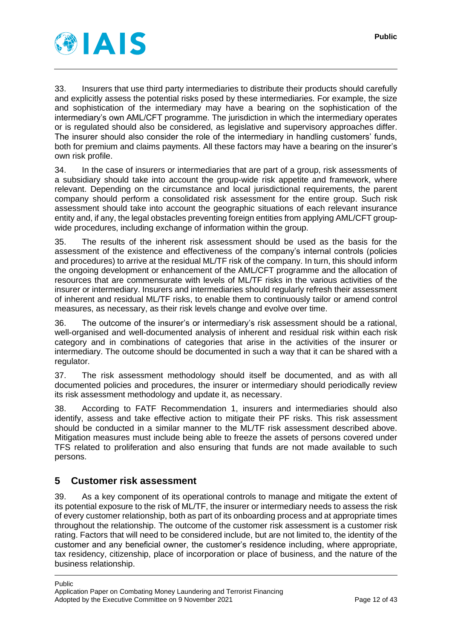

33. Insurers that use third party intermediaries to distribute their products should carefully and explicitly assess the potential risks posed by these intermediaries. For example, the size and sophistication of the intermediary may have a bearing on the sophistication of the intermediary's own AML/CFT programme. The jurisdiction in which the intermediary operates or is regulated should also be considered, as legislative and supervisory approaches differ. The insurer should also consider the role of the intermediary in handling customers' funds, both for premium and claims payments. All these factors may have a bearing on the insurer's own risk profile.

34. In the case of insurers or intermediaries that are part of a group, risk assessments of a subsidiary should take into account the group-wide risk appetite and framework, where relevant. Depending on the circumstance and local jurisdictional requirements, the parent company should perform a consolidated risk assessment for the entire group. Such risk assessment should take into account the geographic situations of each relevant insurance entity and, if any, the legal obstacles preventing foreign entities from applying AML/CFT groupwide procedures, including exchange of information within the group.

35. The results of the inherent risk assessment should be used as the basis for the assessment of the existence and effectiveness of the company's internal controls (policies and procedures) to arrive at the residual ML/TF risk of the company. In turn, this should inform the ongoing development or enhancement of the AML/CFT programme and the allocation of resources that are commensurate with levels of ML/TF risks in the various activities of the insurer or intermediary. Insurers and intermediaries should regularly refresh their assessment of inherent and residual ML/TF risks, to enable them to continuously tailor or amend control measures, as necessary, as their risk levels change and evolve over time.

36. The outcome of the insurer's or intermediary's risk assessment should be a rational, well-organised and well-documented analysis of inherent and residual risk within each risk category and in combinations of categories that arise in the activities of the insurer or intermediary. The outcome should be documented in such a way that it can be shared with a regulator.

37. The risk assessment methodology should itself be documented, and as with all documented policies and procedures, the insurer or intermediary should periodically review its risk assessment methodology and update it, as necessary.

38. According to FATF Recommendation 1, insurers and intermediaries should also identify, assess and take effective action to mitigate their PF risks. This risk assessment should be conducted in a similar manner to the ML/TF risk assessment described above. Mitigation measures must include being able to freeze the assets of persons covered under TFS related to proliferation and also ensuring that funds are not made available to such persons.

# <span id="page-11-0"></span>**5 Customer risk assessment**

39. As a key component of its operational controls to manage and mitigate the extent of its potential exposure to the risk of ML/TF, the insurer or intermediary needs to assess the risk of every customer relationship, both as part of its onboarding process and at appropriate times throughout the relationship. The outcome of the customer risk assessment is a customer risk rating. Factors that will need to be considered include, but are not limited to, the identity of the customer and any beneficial owner, the customer's residence including, where appropriate, tax residency, citizenship, place of incorporation or place of business, and the nature of the business relationship.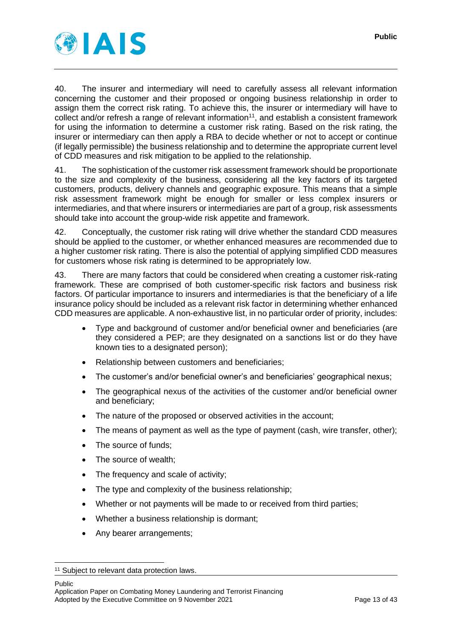

40. The insurer and intermediary will need to carefully assess all relevant information concerning the customer and their proposed or ongoing business relationship in order to assign them the correct risk rating. To achieve this, the insurer or intermediary will have to collect and/or refresh a range of relevant information<sup>11</sup>, and establish a consistent framework for using the information to determine a customer risk rating. Based on the risk rating, the insurer or intermediary can then apply a RBA to decide whether or not to accept or continue (if legally permissible) the business relationship and to determine the appropriate current level of CDD measures and risk mitigation to be applied to the relationship.

41. The sophistication of the customer risk assessment framework should be proportionate to the size and complexity of the business, considering all the key factors of its targeted customers, products, delivery channels and geographic exposure. This means that a simple risk assessment framework might be enough for smaller or less complex insurers or intermediaries, and that where insurers or intermediaries are part of a group, risk assessments should take into account the group-wide risk appetite and framework.

42. Conceptually, the customer risk rating will drive whether the standard CDD measures should be applied to the customer, or whether enhanced measures are recommended due to a higher customer risk rating. There is also the potential of applying simplified CDD measures for customers whose risk rating is determined to be appropriately low.

<span id="page-12-0"></span>43. There are many factors that could be considered when creating a customer risk-rating framework. These are comprised of both customer-specific risk factors and business risk factors. Of particular importance to insurers and intermediaries is that the beneficiary of a life insurance policy should be included as a relevant risk factor in determining whether enhanced CDD measures are applicable. A non-exhaustive list, in no particular order of priority, includes:

- Type and background of customer and/or beneficial owner and beneficiaries (are they considered a PEP; are they designated on a sanctions list or do they have known ties to a designated person);
- Relationship between customers and beneficiaries;
- The customer's and/or beneficial owner's and beneficiaries' geographical nexus;
- The geographical nexus of the activities of the customer and/or beneficial owner and beneficiary;
- The nature of the proposed or observed activities in the account;
- The means of payment as well as the type of payment (cash, wire transfer, other);
- The source of funds;
- The source of wealth;
- The frequency and scale of activity;
- The type and complexity of the business relationship;
- Whether or not payments will be made to or received from third parties;
- Whether a business relationship is dormant;
- Any bearer arrangements;

Public

<sup>&</sup>lt;sup>11</sup> Subject to relevant data protection laws.

Application Paper on Combating Money Laundering and Terrorist Financing Adopted by the Executive Committee on 9 November 2021 Page 13 of 43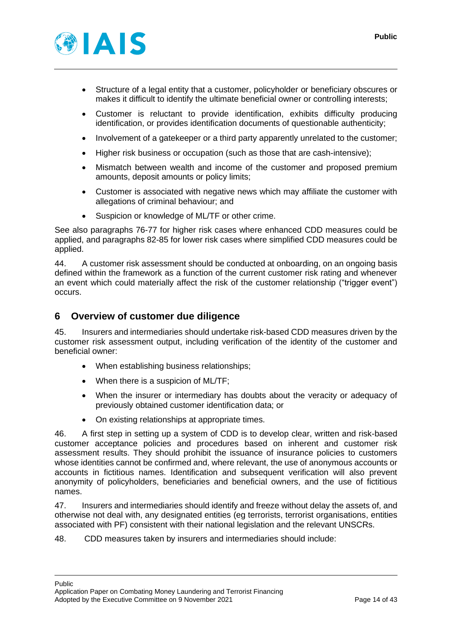

- Structure of a legal entity that a customer, policyholder or beneficiary obscures or makes it difficult to identify the ultimate beneficial owner or controlling interests;
- Customer is reluctant to provide identification, exhibits difficulty producing identification, or provides identification documents of questionable authenticity;
- Involvement of a gatekeeper or a third party apparently unrelated to the customer;
- Higher risk business or occupation (such as those that are cash-intensive);
- Mismatch between wealth and income of the customer and proposed premium amounts, deposit amounts or policy limits;
- Customer is associated with negative news which may affiliate the customer with allegations of criminal behaviour; and
- Suspicion or knowledge of ML/TF or other crime.

See also paragraphs [76](#page-20-1)[-77](#page-20-2) for higher risk cases where enhanced CDD measures could be applied, and paragraphs [82](#page-22-1)[-85](#page-23-0) for lower risk cases where simplified CDD measures could be applied.

44. A customer risk assessment should be conducted at onboarding, on an ongoing basis defined within the framework as a function of the current customer risk rating and whenever an event which could materially affect the risk of the customer relationship ("trigger event") occurs.

## <span id="page-13-0"></span>**6 Overview of customer due diligence**

<span id="page-13-1"></span>45. Insurers and intermediaries should undertake risk-based CDD measures driven by the customer risk assessment output, including verification of the identity of the customer and beneficial owner:

- When establishing business relationships;
- When there is a suspicion of ML/TF:
- When the insurer or intermediary has doubts about the veracity or adequacy of previously obtained customer identification data; or
- On existing relationships at appropriate times.

46. A first step in setting up a system of CDD is to develop clear, written and risk-based customer acceptance policies and procedures based on inherent and customer risk assessment results. They should prohibit the issuance of insurance policies to customers whose identities cannot be confirmed and, where relevant, the use of anonymous accounts or accounts in fictitious names. Identification and subsequent verification will also prevent anonymity of policyholders, beneficiaries and beneficial owners, and the use of fictitious names.

<span id="page-13-2"></span>47. Insurers and intermediaries should identify and freeze without delay the assets of, and otherwise not deal with, any designated entities (eg terrorists, terrorist organisations, entities associated with PF) consistent with their national legislation and the relevant UNSCRs.

<span id="page-13-3"></span>48. CDD measures taken by insurers and intermediaries should include:

#### Public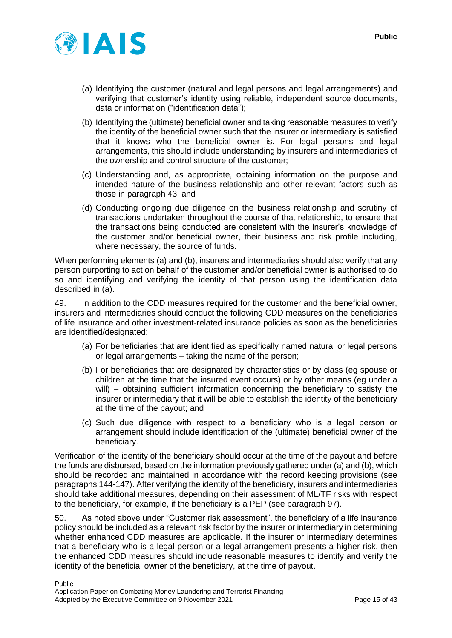

- (a) Identifying the customer (natural and legal persons and legal arrangements) and verifying that customer's identity using reliable, independent source documents, data or information ("identification data");
- (b) Identifying the (ultimate) beneficial owner and taking reasonable measures to verify the identity of the beneficial owner such that the insurer or intermediary is satisfied that it knows who the beneficial owner is. For legal persons and legal arrangements, this should include understanding by insurers and intermediaries of the ownership and control structure of the customer;
- (c) Understanding and, as appropriate, obtaining information on the purpose and intended nature of the business relationship and other relevant factors such as those in paragraph [43;](#page-12-0) and
- (d) Conducting ongoing due diligence on the business relationship and scrutiny of transactions undertaken throughout the course of that relationship, to ensure that the transactions being conducted are consistent with the insurer's knowledge of the customer and/or beneficial owner, their business and risk profile including, where necessary, the source of funds.

When performing elements (a) and (b), insurers and intermediaries should also verify that any person purporting to act on behalf of the customer and/or beneficial owner is authorised to do so and identifying and verifying the identity of that person using the identification data described in (a).

49. In addition to the CDD measures required for the customer and the beneficial owner, insurers and intermediaries should conduct the following CDD measures on the beneficiaries of life insurance and other investment-related insurance policies as soon as the beneficiaries are identified/designated:

- (a) For beneficiaries that are identified as specifically named natural or legal persons or legal arrangements – taking the name of the person;
- (b) For beneficiaries that are designated by characteristics or by class (eg spouse or children at the time that the insured event occurs) or by other means (eg under a will) – obtaining sufficient information concerning the beneficiary to satisfy the insurer or intermediary that it will be able to establish the identity of the beneficiary at the time of the payout; and
- (c) Such due diligence with respect to a beneficiary who is a legal person or arrangement should include identification of the (ultimate) beneficial owner of the beneficiary.

Verification of the identity of the beneficiary should occur at the time of the payout and before the funds are disbursed, based on the information previously gathered under (a) and (b), which should be recorded and maintained in accordance with the record keeping provisions (see paragraphs [144-](#page-34-1)[147\)](#page-34-2). After verifying the identity of the beneficiary, insurers and intermediaries should take additional measures, depending on their assessment of ML/TF risks with respect to the beneficiary, for example, if the beneficiary is a PEP (see paragraph [97\)](#page-26-1).

50. As noted above under "Customer risk assessment", the beneficiary of a life insurance policy should be included as a relevant risk factor by the insurer or intermediary in determining whether enhanced CDD measures are applicable. If the insurer or intermediary determines that a beneficiary who is a legal person or a legal arrangement presents a higher risk, then the enhanced CDD measures should include reasonable measures to identify and verify the identity of the beneficial owner of the beneficiary, at the time of payout.

Public Application Paper on Combating Money Laundering and Terrorist Financing Adopted by the Executive Committee on 9 November 2021 Page 15 of 43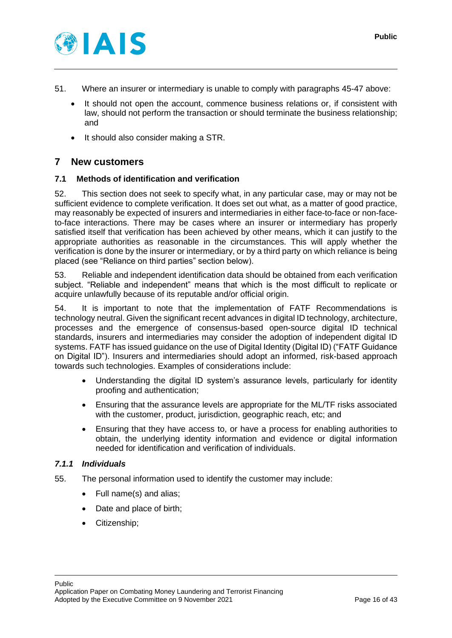

- 51. Where an insurer or intermediary is unable to comply with paragraphs [45](#page-13-1)[-47](#page-13-2) above:
	- It should not open the account, commence business relations or, if consistent with law, should not perform the transaction or should terminate the business relationship; and
	- It should also consider making a STR.

## <span id="page-15-0"></span>**7 New customers**

## <span id="page-15-1"></span>**7.1 Methods of identification and verification**

52. This section does not seek to specify what, in any particular case, may or may not be sufficient evidence to complete verification. It does set out what, as a matter of good practice, may reasonably be expected of insurers and intermediaries in either face-to-face or non-faceto-face interactions. There may be cases where an insurer or intermediary has properly satisfied itself that verification has been achieved by other means, which it can justify to the appropriate authorities as reasonable in the circumstances. This will apply whether the verification is done by the insurer or intermediary, or by a third party on which reliance is being placed (see "Reliance on third parties" section below).

53. Reliable and independent identification data should be obtained from each verification subject. "Reliable and independent" means that which is the most difficult to replicate or acquire unlawfully because of its reputable and/or official origin.

<span id="page-15-4"></span>54. It is important to note that the implementation of FATF Recommendations is technology neutral. Given the significant recent advances in digital ID technology, architecture, processes and the emergence of consensus-based open-source digital ID technical standards, insurers and intermediaries may consider the adoption of independent digital ID systems. FATF has issued guidance on the use of Digital Identity (Digital ID) ("FATF Guidance on Digital ID"). Insurers and intermediaries should adopt an informed, risk-based approach towards such technologies. Examples of considerations include:

- Understanding the digital ID system's assurance levels, particularly for identity proofing and authentication;
- Ensuring that the assurance levels are appropriate for the ML/TF risks associated with the customer, product, jurisdiction, geographic reach, etc; and
- Ensuring that they have access to, or have a process for enabling authorities to obtain, the underlying identity information and evidence or digital information needed for identification and verification of individuals.

#### <span id="page-15-2"></span>*7.1.1 Individuals*

- <span id="page-15-3"></span>55. The personal information used to identify the customer may include:
	- Full name(s) and alias;
	- Date and place of birth;
	- Citizenship;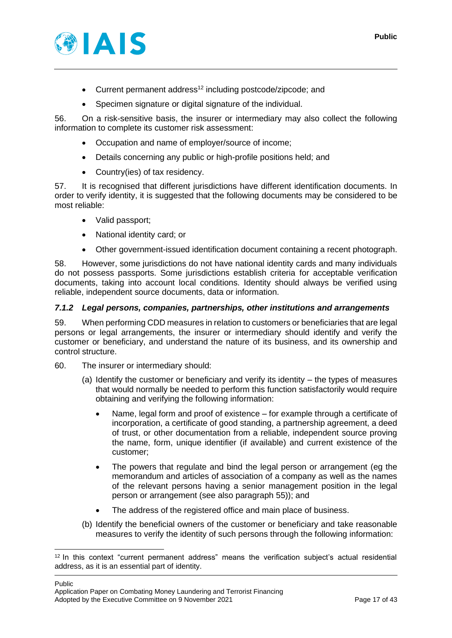

- Current permanent address<sup>12</sup> including postcode/zipcode; and
- Specimen signature or digital signature of the individual.

56. On a risk-sensitive basis, the insurer or intermediary may also collect the following information to complete its customer risk assessment:

- Occupation and name of employer/source of income;
- Details concerning any public or high-profile positions held; and
- Country(ies) of tax residency.

57. It is recognised that different jurisdictions have different identification documents. In order to verify identity, it is suggested that the following documents may be considered to be most reliable:

- Valid passport:
- National identity card; or
- Other government-issued identification document containing a recent photograph.

58. However, some jurisdictions do not have national identity cards and many individuals do not possess passports. Some jurisdictions establish criteria for acceptable verification documents, taking into account local conditions. Identity should always be verified using reliable, independent source documents, data or information.

## <span id="page-16-0"></span>*7.1.2 Legal persons, companies, partnerships, other institutions and arrangements*

59. When performing CDD measures in relation to customers or beneficiaries that are legal persons or legal arrangements, the insurer or intermediary should identify and verify the customer or beneficiary, and understand the nature of its business, and its ownership and control structure.

- 60. The insurer or intermediary should:
	- (a) Identify the customer or beneficiary and verify its identity the types of measures that would normally be needed to perform this function satisfactorily would require obtaining and verifying the following information:
		- Name, legal form and proof of existence for example through a certificate of incorporation, a certificate of good standing, a partnership agreement, a deed of trust, or other documentation from a reliable, independent source proving the name, form, unique identifier (if available) and current existence of the customer;
		- The powers that regulate and bind the legal person or arrangement (eg the memorandum and articles of association of a company as well as the names of the relevant persons having a senior management position in the legal person or arrangement (see also paragraph [55\)](#page-15-3)); and
		- The address of the registered office and main place of business.
	- (b) Identify the beneficial owners of the customer or beneficiary and take reasonable measures to verify the identity of such persons through the following information:

Public Application Paper on Combating Money Laundering and Terrorist Financing Adopted by the Executive Committee on 9 November 2021 Page 17 of 43

<sup>12</sup> In this context "current permanent address" means the verification subject's actual residential address, as it is an essential part of identity.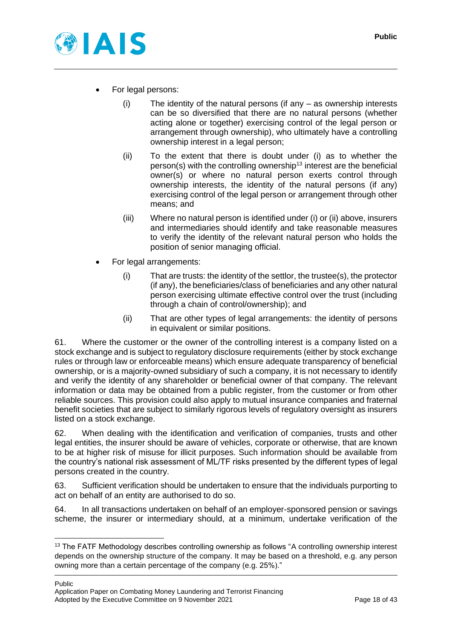

- For legal persons:
	- (i) The identity of the natural persons (if any as ownership interests can be so diversified that there are no natural persons (whether acting alone or together) exercising control of the legal person or arrangement through ownership), who ultimately have a controlling ownership interest in a legal person;
	- (ii) To the extent that there is doubt under (i) as to whether the person(s) with the controlling ownership<sup>13</sup> interest are the beneficial owner(s) or where no natural person exerts control through ownership interests, the identity of the natural persons (if any) exercising control of the legal person or arrangement through other means; and
	- (iii) Where no natural person is identified under (i) or (ii) above, insurers and intermediaries should identify and take reasonable measures to verify the identity of the relevant natural person who holds the position of senior managing official.
- For legal arrangements:
	- (i) That are trusts: the identity of the settlor, the trustee(s), the protector (if any), the beneficiaries/class of beneficiaries and any other natural person exercising ultimate effective control over the trust (including through a chain of control/ownership); and
	- (ii) That are other types of legal arrangements: the identity of persons in equivalent or similar positions.

61. Where the customer or the owner of the controlling interest is a company listed on a stock exchange and is subject to regulatory disclosure requirements (either by stock exchange rules or through law or enforceable means) which ensure adequate transparency of beneficial ownership, or is a majority-owned subsidiary of such a company, it is not necessary to identify and verify the identity of any shareholder or beneficial owner of that company. The relevant information or data may be obtained from a public register, from the customer or from other reliable sources. This provision could also apply to mutual insurance companies and fraternal benefit societies that are subject to similarly rigorous levels of regulatory oversight as insurers listed on a stock exchange.

62. When dealing with the identification and verification of companies, trusts and other legal entities, the insurer should be aware of vehicles, corporate or otherwise, that are known to be at higher risk of misuse for illicit purposes. Such information should be available from the country's national risk assessment of ML/TF risks presented by the different types of legal persons created in the country.

63. Sufficient verification should be undertaken to ensure that the individuals purporting to act on behalf of an entity are authorised to do so.

64. In all transactions undertaken on behalf of an employer-sponsored pension or savings scheme, the insurer or intermediary should, at a minimum, undertake verification of the

Public Application Paper on Combating Money Laundering and Terrorist Financing Adopted by the Executive Committee on 9 November 2021 Page 18 of 43

<sup>&</sup>lt;sup>13</sup> The FATF Methodology describes controlling ownership as follows "A controlling ownership interest depends on the ownership structure of the company. It may be based on a threshold, e.g. any person owning more than a certain percentage of the company (e.g. 25%)."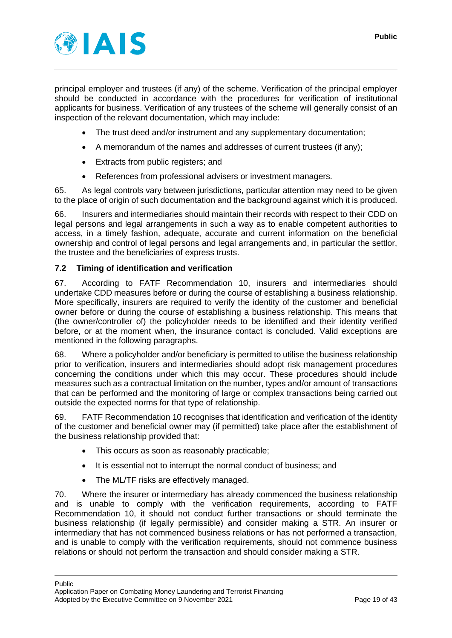

principal employer and trustees (if any) of the scheme. Verification of the principal employer should be conducted in accordance with the procedures for verification of institutional applicants for business. Verification of any trustees of the scheme will generally consist of an inspection of the relevant documentation, which may include:

- The trust deed and/or instrument and any supplementary documentation;
- A memorandum of the names and addresses of current trustees (if any);
- Extracts from public registers; and
- References from professional advisers or investment managers.

65. As legal controls vary between jurisdictions, particular attention may need to be given to the place of origin of such documentation and the background against which it is produced.

66. Insurers and intermediaries should maintain their records with respect to their CDD on legal persons and legal arrangements in such a way as to enable competent authorities to access, in a timely fashion, adequate, accurate and current information on the beneficial ownership and control of legal persons and legal arrangements and, in particular the settlor, the trustee and the beneficiaries of express trusts.

#### <span id="page-18-0"></span>**7.2 Timing of identification and verification**

67. According to FATF Recommendation 10, insurers and intermediaries should undertake CDD measures before or during the course of establishing a business relationship. More specifically, insurers are required to verify the identity of the customer and beneficial owner before or during the course of establishing a business relationship. This means that (the owner/controller of) the policyholder needs to be identified and their identity verified before, or at the moment when, the insurance contact is concluded. Valid exceptions are mentioned in the following paragraphs.

68. Where a policyholder and/or beneficiary is permitted to utilise the business relationship prior to verification, insurers and intermediaries should adopt risk management procedures concerning the conditions under which this may occur. These procedures should include measures such as a contractual limitation on the number, types and/or amount of transactions that can be performed and the monitoring of large or complex transactions being carried out outside the expected norms for that type of relationship.

69. FATF Recommendation 10 recognises that identification and verification of the identity of the customer and beneficial owner may (if permitted) take place after the establishment of the business relationship provided that:

- This occurs as soon as reasonably practicable;
- It is essential not to interrupt the normal conduct of business; and
- The ML/TF risks are effectively managed.

70. Where the insurer or intermediary has already commenced the business relationship and is unable to comply with the verification requirements, according to FATF Recommendation 10, it should not conduct further transactions or should terminate the business relationship (if legally permissible) and consider making a STR. An insurer or intermediary that has not commenced business relations or has not performed a transaction, and is unable to comply with the verification requirements, should not commence business relations or should not perform the transaction and should consider making a STR.

Public Application Paper on Combating Money Laundering and Terrorist Financing Adopted by the Executive Committee on 9 November 2021 Page 19 of 43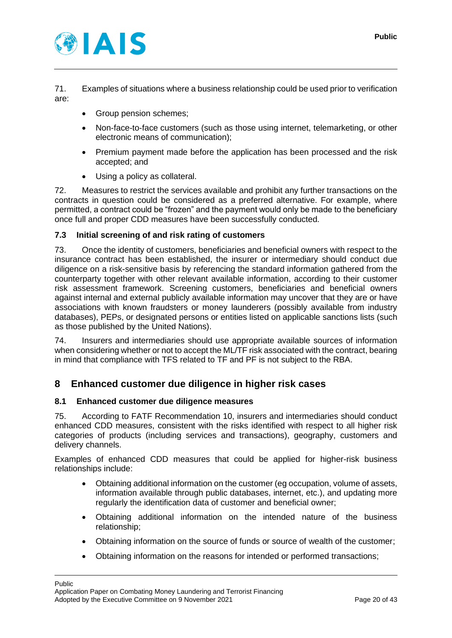

71. Examples of situations where a business relationship could be used prior to verification are:

- Group pension schemes:
- Non-face-to-face customers (such as those using internet, telemarketing, or other electronic means of communication);
- Premium payment made before the application has been processed and the risk accepted; and
- Using a policy as collateral.

72. Measures to restrict the services available and prohibit any further transactions on the contracts in question could be considered as a preferred alternative. For example, where permitted, a contract could be "frozen" and the payment would only be made to the beneficiary once full and proper CDD measures have been successfully conducted.

#### <span id="page-19-0"></span>**7.3 Initial screening of and risk rating of customers**

73. Once the identity of customers, beneficiaries and beneficial owners with respect to the insurance contract has been established, the insurer or intermediary should conduct due diligence on a risk-sensitive basis by referencing the standard information gathered from the counterparty together with other relevant available information, according to their customer risk assessment framework. Screening customers, beneficiaries and beneficial owners against internal and external publicly available information may uncover that they are or have associations with known fraudsters or money launderers (possibly available from industry databases), PEPs, or designated persons or entities listed on applicable sanctions lists (such as those published by the United Nations).

74. Insurers and intermediaries should use appropriate available sources of information when considering whether or not to accept the ML/TF risk associated with the contract, bearing in mind that compliance with TFS related to TF and PF is not subject to the RBA.

## <span id="page-19-1"></span>**8 Enhanced customer due diligence in higher risk cases**

#### <span id="page-19-2"></span>**8.1 Enhanced customer due diligence measures**

75. According to FATF Recommendation 10, insurers and intermediaries should conduct enhanced CDD measures, consistent with the risks identified with respect to all higher risk categories of products (including services and transactions), geography, customers and delivery channels.

Examples of enhanced CDD measures that could be applied for higher-risk business relationships include:

- Obtaining additional information on the customer (eg occupation, volume of assets, information available through public databases, internet, etc.), and updating more regularly the identification data of customer and beneficial owner;
- Obtaining additional information on the intended nature of the business relationship;
- Obtaining information on the source of funds or source of wealth of the customer;
- Obtaining information on the reasons for intended or performed transactions;

Public Application Paper on Combating Money Laundering and Terrorist Financing Adopted by the Executive Committee on 9 November 2021 Page 20 of 43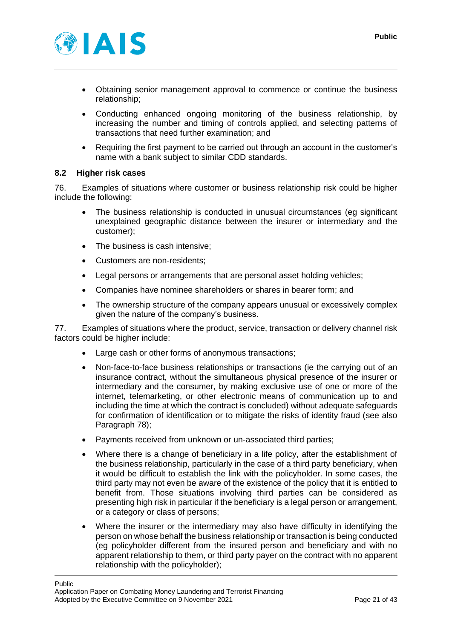

- Obtaining senior management approval to commence or continue the business relationship;
- Conducting enhanced ongoing monitoring of the business relationship, by increasing the number and timing of controls applied, and selecting patterns of transactions that need further examination; and
- Requiring the first payment to be carried out through an account in the customer's name with a bank subject to similar CDD standards.

#### <span id="page-20-0"></span>**8.2 Higher risk cases**

<span id="page-20-1"></span>76. Examples of situations where customer or business relationship risk could be higher include the following:

- The business relationship is conducted in unusual circumstances (eg significant unexplained geographic distance between the insurer or intermediary and the customer);
- The business is cash intensive:
- Customers are non-residents;
- Legal persons or arrangements that are personal asset holding vehicles;
- Companies have nominee shareholders or shares in bearer form; and
- The ownership structure of the company appears unusual or excessively complex given the nature of the company's business.

<span id="page-20-2"></span>77. Examples of situations where the product, service, transaction or delivery channel risk factors could be higher include:

- Large cash or other forms of anonymous transactions;
- Non-face-to-face business relationships or transactions (ie the carrying out of an insurance contract, without the simultaneous physical presence of the insurer or intermediary and the consumer, by making exclusive use of one or more of the internet, telemarketing, or other electronic means of communication up to and including the time at which the contract is concluded) without adequate safeguards for confirmation of identification or to mitigate the risks of identity fraud (see also Paragraph [78\)](#page-21-1);
- Payments received from unknown or un-associated third parties;
- Where there is a change of beneficiary in a life policy, after the establishment of the business relationship, particularly in the case of a third party beneficiary, when it would be difficult to establish the link with the policyholder. In some cases, the third party may not even be aware of the existence of the policy that it is entitled to benefit from. Those situations involving third parties can be considered as presenting high risk in particular if the beneficiary is a legal person or arrangement, or a category or class of persons;
- Where the insurer or the intermediary may also have difficulty in identifying the person on whose behalf the business relationship or transaction is being conducted (eg policyholder different from the insured person and beneficiary and with no apparent relationship to them, or third party payer on the contract with no apparent relationship with the policyholder);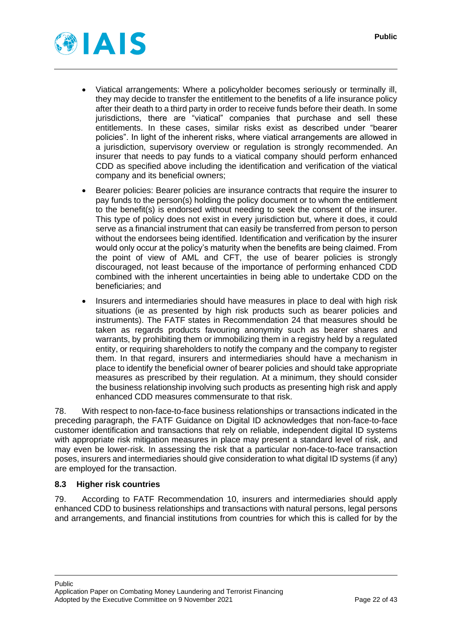

- Viatical arrangements: Where a policyholder becomes seriously or terminally ill, they may decide to transfer the entitlement to the benefits of a life insurance policy after their death to a third party in order to receive funds before their death. In some jurisdictions, there are "viatical" companies that purchase and sell these entitlements. In these cases, similar risks exist as described under "bearer policies". In light of the inherent risks, where viatical arrangements are allowed in a jurisdiction, supervisory overview or regulation is strongly recommended. An insurer that needs to pay funds to a viatical company should perform enhanced CDD as specified above including the identification and verification of the viatical company and its beneficial owners;
- Bearer policies: Bearer policies are insurance contracts that require the insurer to pay funds to the person(s) holding the policy document or to whom the entitlement to the benefit(s) is endorsed without needing to seek the consent of the insurer. This type of policy does not exist in every jurisdiction but, where it does, it could serve as a financial instrument that can easily be transferred from person to person without the endorsees being identified. Identification and verification by the insurer would only occur at the policy's maturity when the benefits are being claimed. From the point of view of AML and CFT, the use of bearer policies is strongly discouraged, not least because of the importance of performing enhanced CDD combined with the inherent uncertainties in being able to undertake CDD on the beneficiaries; and
- Insurers and intermediaries should have measures in place to deal with high risk situations (ie as presented by high risk products such as bearer policies and instruments). The FATF states in Recommendation 24 that measures should be taken as regards products favouring anonymity such as bearer shares and warrants, by prohibiting them or immobilizing them in a registry held by a regulated entity, or requiring shareholders to notify the company and the company to register them. In that regard, insurers and intermediaries should have a mechanism in place to identify the beneficial owner of bearer policies and should take appropriate measures as prescribed by their regulation. At a minimum, they should consider the business relationship involving such products as presenting high risk and apply enhanced CDD measures commensurate to that risk.

<span id="page-21-1"></span>78. With respect to non-face-to-face business relationships or transactions indicated in the preceding paragraph, the FATF Guidance on Digital ID acknowledges that non-face-to-face customer identification and transactions that rely on reliable, independent digital ID systems with appropriate risk mitigation measures in place may present a standard level of risk, and may even be lower-risk. In assessing the risk that a particular non-face-to-face transaction poses, insurers and intermediaries should give consideration to what digital ID systems (if any) are employed for the transaction.

#### <span id="page-21-0"></span>**8.3 Higher risk countries**

79. According to FATF Recommendation 10, insurers and intermediaries should apply enhanced CDD to business relationships and transactions with natural persons, legal persons and arrangements, and financial institutions from countries for which this is called for by the

#### Public Application Paper on Combating Money Laundering and Terrorist Financing Adopted by the Executive Committee on 9 November 2021 Page 22 of 43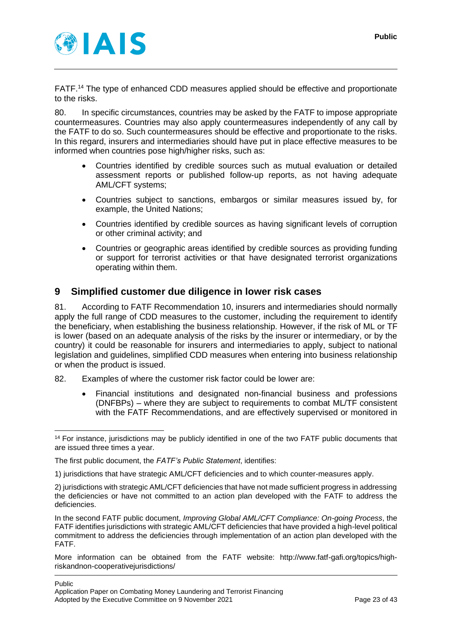

FATF.<sup>14</sup> The type of enhanced CDD measures applied should be effective and proportionate to the risks.

80. In specific circumstances, countries may be asked by the FATF to impose appropriate countermeasures. Countries may also apply countermeasures independently of any call by the FATF to do so. Such countermeasures should be effective and proportionate to the risks. In this regard, insurers and intermediaries should have put in place effective measures to be informed when countries pose high/higher risks, such as:

- Countries identified by credible sources such as mutual evaluation or detailed assessment reports or published follow-up reports, as not having adequate AML/CFT systems;
- Countries subject to sanctions, embargos or similar measures issued by, for example, the United Nations;
- Countries identified by credible sources as having significant levels of corruption or other criminal activity; and
- Countries or geographic areas identified by credible sources as providing funding or support for terrorist activities or that have designated terrorist organizations operating within them.

## <span id="page-22-0"></span>**9 Simplified customer due diligence in lower risk cases**

81. According to FATF Recommendation 10, insurers and intermediaries should normally apply the full range of CDD measures to the customer, including the requirement to identify the beneficiary, when establishing the business relationship. However, if the risk of ML or TF is lower (based on an adequate analysis of the risks by the insurer or intermediary, or by the country) it could be reasonable for insurers and intermediaries to apply, subject to national legislation and guidelines, simplified CDD measures when entering into business relationship or when the product is issued.

- <span id="page-22-1"></span>82. Examples of where the customer risk factor could be lower are:
	- Financial institutions and designated non-financial business and professions (DNFBPs) – where they are subject to requirements to combat ML/TF consistent with the FATF Recommendations, and are effectively supervised or monitored in

<sup>14</sup> For instance, jurisdictions may be publicly identified in one of the two FATF public documents that are issued three times a year.

The first public document, the *FATF's Public Statement*, identifies:

<sup>1)</sup> jurisdictions that have strategic AML/CFT deficiencies and to which counter-measures apply.

<sup>2)</sup> jurisdictions with strategic AML/CFT deficiencies that have not made sufficient progress in addressing the deficiencies or have not committed to an action plan developed with the FATF to address the deficiencies.

In the second FATF public document, *Improving Global AML/CFT Compliance: On-going Process*, the FATF identifies jurisdictions with strategic AML/CFT deficiencies that have provided a high-level political commitment to address the deficiencies through implementation of an action plan developed with the FATF.

More information can be obtained from the FATF website: http://www.fatf-gafi.org/topics/highriskandnon-cooperativejurisdictions/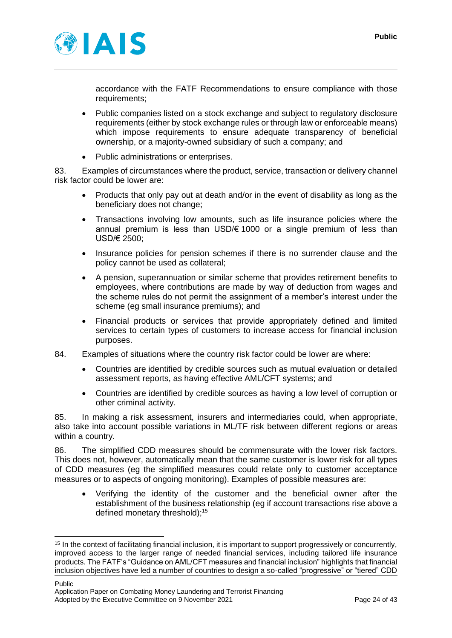

accordance with the FATF Recommendations to ensure compliance with those requirements:

- Public companies listed on a stock exchange and subject to regulatory disclosure requirements (either by stock exchange rules or through law or enforceable means) which impose requirements to ensure adequate transparency of beneficial ownership, or a majority-owned subsidiary of such a company; and
- Public administrations or enterprises.

83. Examples of circumstances where the product, service, transaction or delivery channel risk factor could be lower are:

- Products that only pay out at death and/or in the event of disability as long as the beneficiary does not change;
- Transactions involving low amounts, such as life insurance policies where the annual premium is less than USD/€ 1000 or a single premium of less than USD/€ 2500;
- Insurance policies for pension schemes if there is no surrender clause and the policy cannot be used as collateral;
- A pension, superannuation or similar scheme that provides retirement benefits to employees, where contributions are made by way of deduction from wages and the scheme rules do not permit the assignment of a member's interest under the scheme (eg small insurance premiums); and
- Financial products or services that provide appropriately defined and limited services to certain types of customers to increase access for financial inclusion purposes.
- 84. Examples of situations where the country risk factor could be lower are where:
	- Countries are identified by credible sources such as mutual evaluation or detailed assessment reports, as having effective AML/CFT systems; and
	- Countries are identified by credible sources as having a low level of corruption or other criminal activity.

<span id="page-23-0"></span>85. In making a risk assessment, insurers and intermediaries could, when appropriate, also take into account possible variations in ML/TF risk between different regions or areas within a country.

86. The simplified CDD measures should be commensurate with the lower risk factors. This does not, however, automatically mean that the same customer is lower risk for all types of CDD measures (eg the simplified measures could relate only to customer acceptance measures or to aspects of ongoing monitoring). Examples of possible measures are:

• Verifying the identity of the customer and the beneficial owner after the establishment of the business relationship (eg if account transactions rise above a defined monetary threshold); 15

<sup>15</sup> In the context of facilitating financial inclusion, it is important to support progressively or concurrently, improved access to the larger range of needed financial services, including tailored life insurance products. The FATF's "Guidance on AML/CFT measures and financial inclusion" highlights that financial inclusion objectives have led a number of countries to design a so-called "progressive" or "tiered" CDD

Public Application Paper on Combating Money Laundering and Terrorist Financing Adopted by the Executive Committee on 9 November 2021 Page 24 of 43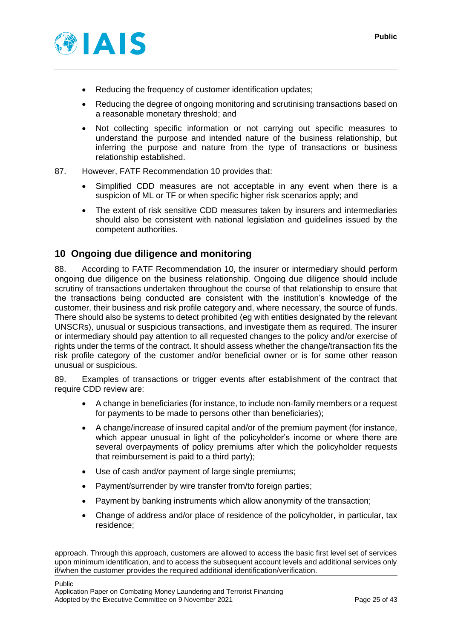

- Reducing the frequency of customer identification updates;
- Reducing the degree of ongoing monitoring and scrutinising transactions based on a reasonable monetary threshold; and
- Not collecting specific information or not carrying out specific measures to understand the purpose and intended nature of the business relationship, but inferring the purpose and nature from the type of transactions or business relationship established.
- 87. However, FATF Recommendation 10 provides that:
	- Simplified CDD measures are not acceptable in any event when there is a suspicion of ML or TF or when specific higher risk scenarios apply: and
	- The extent of risk sensitive CDD measures taken by insurers and intermediaries should also be consistent with national legislation and guidelines issued by the competent authorities.

## <span id="page-24-0"></span>**10 Ongoing due diligence and monitoring**

88. According to FATF Recommendation 10, the insurer or intermediary should perform ongoing due diligence on the business relationship. Ongoing due diligence should include scrutiny of transactions undertaken throughout the course of that relationship to ensure that the transactions being conducted are consistent with the institution's knowledge of the customer, their business and risk profile category and, where necessary, the source of funds. There should also be systems to detect prohibited (eg with entities designated by the relevant UNSCRs), unusual or suspicious transactions, and investigate them as required. The insurer or intermediary should pay attention to all requested changes to the policy and/or exercise of rights under the terms of the contract. It should assess whether the change/transaction fits the risk profile category of the customer and/or beneficial owner or is for some other reason unusual or suspicious.

89. Examples of transactions or trigger events after establishment of the contract that require CDD review are:

- A change in beneficiaries (for instance, to include non-family members or a request for payments to be made to persons other than beneficiaries);
- A change/increase of insured capital and/or of the premium payment (for instance, which appear unusual in light of the policyholder's income or where there are several overpayments of policy premiums after which the policyholder requests that reimbursement is paid to a third party);
- Use of cash and/or payment of large single premiums;
- Payment/surrender by wire transfer from/to foreign parties;
- Payment by banking instruments which allow anonymity of the transaction;
- Change of address and/or place of residence of the policyholder, in particular, tax residence;

approach. Through this approach, customers are allowed to access the basic first level set of services upon minimum identification, and to access the subsequent account levels and additional services only if/when the customer provides the required additional identification/verification.

Public Application Paper on Combating Money Laundering and Terrorist Financing Adopted by the Executive Committee on 9 November 2021 Page 25 of 43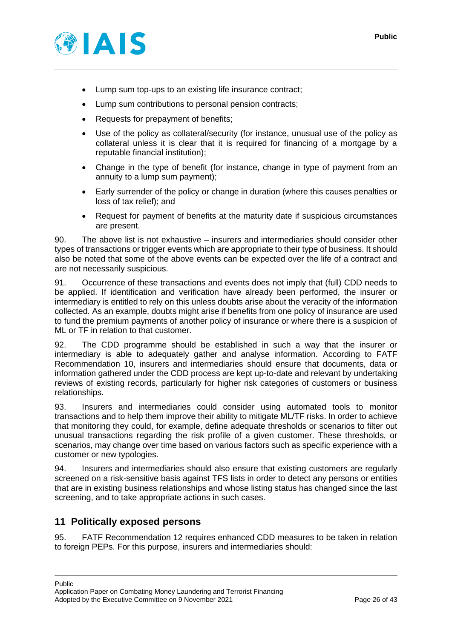

- Lump sum top-ups to an existing life insurance contract;
- Lump sum contributions to personal pension contracts;
- Requests for prepayment of benefits;
- Use of the policy as collateral/security (for instance, unusual use of the policy as collateral unless it is clear that it is required for financing of a mortgage by a reputable financial institution);
- Change in the type of benefit (for instance, change in type of payment from an annuity to a lump sum payment);
- Early surrender of the policy or change in duration (where this causes penalties or loss of tax relief); and
- Request for payment of benefits at the maturity date if suspicious circumstances are present.

90. The above list is not exhaustive – insurers and intermediaries should consider other types of transactions or trigger events which are appropriate to their type of business. It should also be noted that some of the above events can be expected over the life of a contract and are not necessarily suspicious.

91. Occurrence of these transactions and events does not imply that (full) CDD needs to be applied. If identification and verification have already been performed, the insurer or intermediary is entitled to rely on this unless doubts arise about the veracity of the information collected. As an example, doubts might arise if benefits from one policy of insurance are used to fund the premium payments of another policy of insurance or where there is a suspicion of ML or TF in relation to that customer.

92. The CDD programme should be established in such a way that the insurer or intermediary is able to adequately gather and analyse information. According to FATF Recommendation 10, insurers and intermediaries should ensure that documents, data or information gathered under the CDD process are kept up-to-date and relevant by undertaking reviews of existing records, particularly for higher risk categories of customers or business relationships.

93. Insurers and intermediaries could consider using automated tools to monitor transactions and to help them improve their ability to mitigate ML/TF risks. In order to achieve that monitoring they could, for example, define adequate thresholds or scenarios to filter out unusual transactions regarding the risk profile of a given customer. These thresholds, or scenarios, may change over time based on various factors such as specific experience with a customer or new typologies.

94. Insurers and intermediaries should also ensure that existing customers are regularly screened on a risk-sensitive basis against TFS lists in order to detect any persons or entities that are in existing business relationships and whose listing status has changed since the last screening, and to take appropriate actions in such cases.

## <span id="page-25-0"></span>**11 Politically exposed persons**

<span id="page-25-1"></span>95. FATF Recommendation 12 requires enhanced CDD measures to be taken in relation to foreign PEPs. For this purpose, insurers and intermediaries should: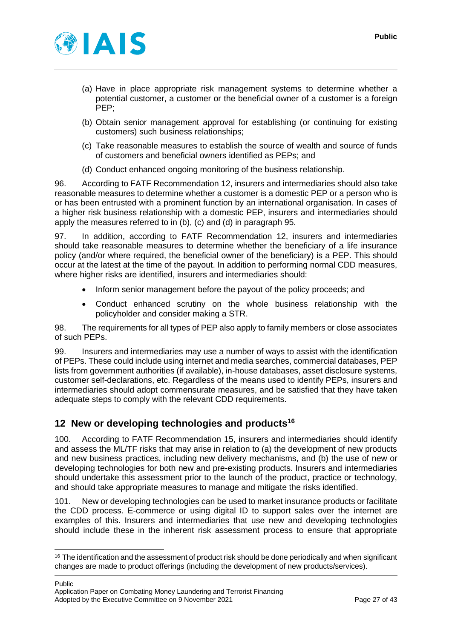

- (a) Have in place appropriate risk management systems to determine whether a potential customer, a customer or the beneficial owner of a customer is a foreign PEP;
- (b) Obtain senior management approval for establishing (or continuing for existing customers) such business relationships;
- (c) Take reasonable measures to establish the source of wealth and source of funds of customers and beneficial owners identified as PEPs; and
- (d) Conduct enhanced ongoing monitoring of the business relationship.

96. According to FATF Recommendation 12, insurers and intermediaries should also take reasonable measures to determine whether a customer is a domestic PEP or a person who is or has been entrusted with a prominent function by an international organisation. In cases of a higher risk business relationship with a domestic PEP, insurers and intermediaries should apply the measures referred to in (b), (c) and (d) in paragraph [95.](#page-25-1)

<span id="page-26-1"></span>97. In addition, according to FATF Recommendation 12, insurers and intermediaries should take reasonable measures to determine whether the beneficiary of a life insurance policy (and/or where required, the beneficial owner of the beneficiary) is a PEP. This should occur at the latest at the time of the payout. In addition to performing normal CDD measures, where higher risks are identified, insurers and intermediaries should:

- Inform senior management before the payout of the policy proceeds; and
- Conduct enhanced scrutiny on the whole business relationship with the policyholder and consider making a STR.

98. The requirements for all types of PEP also apply to family members or close associates of such PEPs.

99. Insurers and intermediaries may use a number of ways to assist with the identification of PEPs. These could include using internet and media searches, commercial databases, PEP lists from government authorities (if available), in-house databases, asset disclosure systems, customer self-declarations, etc. Regardless of the means used to identify PEPs, insurers and intermediaries should adopt commensurate measures, and be satisfied that they have taken adequate steps to comply with the relevant CDD requirements.

## <span id="page-26-0"></span>**12 New or developing technologies and products<sup>16</sup>**

100. According to FATF Recommendation 15, insurers and intermediaries should identify and assess the ML/TF risks that may arise in relation to (a) the development of new products and new business practices, including new delivery mechanisms, and (b) the use of new or developing technologies for both new and pre-existing products. Insurers and intermediaries should undertake this assessment prior to the launch of the product, practice or technology, and should take appropriate measures to manage and mitigate the risks identified.

101. New or developing technologies can be used to market insurance products or facilitate the CDD process. E-commerce or using digital ID to support sales over the internet are examples of this. Insurers and intermediaries that use new and developing technologies should include these in the inherent risk assessment process to ensure that appropriate

Public Application Paper on Combating Money Laundering and Terrorist Financing Adopted by the Executive Committee on 9 November 2021 Page 27 of 43

<sup>&</sup>lt;sup>16</sup> The identification and the assessment of product risk should be done periodically and when significant changes are made to product offerings (including the development of new products/services).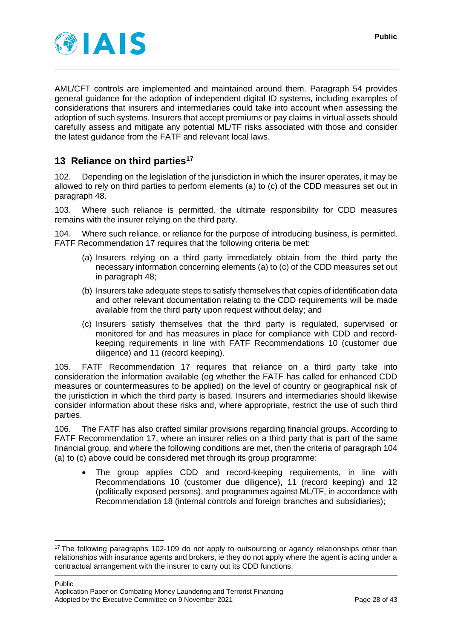

AML/CFT controls are implemented and maintained around them. Paragraph [54](#page-15-4) provides general guidance for the adoption of independent digital ID systems, including examples of considerations that insurers and intermediaries could take into account when assessing the adoption of such systems. Insurers that accept premiums or pay claims in virtual assets should carefully assess and mitigate any potential ML/TF risks associated with those and consider the latest guidance from the FATF and relevant local laws.

## <span id="page-27-0"></span>**13 Reliance on third parties<sup>17</sup>**

<span id="page-27-2"></span>102. Depending on the legislation of the jurisdiction in which the insurer operates, it may be allowed to rely on third parties to perform elements (a) to (c) of the CDD measures set out in paragraph [48.](#page-13-3)

103. Where such reliance is permitted, the ultimate responsibility for CDD measures remains with the insurer relying on the third party.

<span id="page-27-1"></span>Where such reliance, or reliance for the purpose of introducing business, is permitted, FATF Recommendation 17 requires that the following criteria be met:

- (a) Insurers relying on a third party immediately obtain from the third party the necessary information concerning elements (a) to (c) of the CDD measures set out in paragraph [48;](#page-13-3)
- (b) Insurers take adequate steps to satisfy themselves that copies of identification data and other relevant documentation relating to the CDD requirements will be made available from the third party upon request without delay; and
- (c) Insurers satisfy themselves that the third party is regulated, supervised or monitored for and has measures in place for compliance with CDD and recordkeeping requirements in line with FATF Recommendations 10 (customer due diligence) and 11 (record keeping).

105. FATF Recommendation 17 requires that reliance on a third party take into consideration the information available (eg whether the FATF has called for enhanced CDD measures or countermeasures to be applied) on the level of country or geographical risk of the jurisdiction in which the third party is based. Insurers and intermediaries should likewise consider information about these risks and, where appropriate, restrict the use of such third parties.

106. The FATF has also crafted similar provisions regarding financial groups. According to FATF Recommendation 17, where an insurer relies on a third party that is part of the same financial group, and where the following conditions are met, then the criteria of paragraph [104](#page-27-1) (a) to (c) above could be considered met through its group programme:

The group applies CDD and record-keeping requirements, in line with Recommendations 10 (customer due diligence), 11 (record keeping) and 12 (politically exposed persons), and programmes against ML/TF, in accordance with Recommendation 18 (internal controls and foreign branches and subsidiaries);

Public Application Paper on Combating Money Laundering and Terrorist Financing Adopted by the Executive Committee on 9 November 2021 Page 28 of 43

<sup>&</sup>lt;sup>17</sup> The following paragraphs [102](#page-27-2)[-109](#page-28-1) do not apply to outsourcing or agency relationships other than relationships with insurance agents and brokers, ie they do not apply where the agent is acting under a contractual arrangement with the insurer to carry out its CDD functions.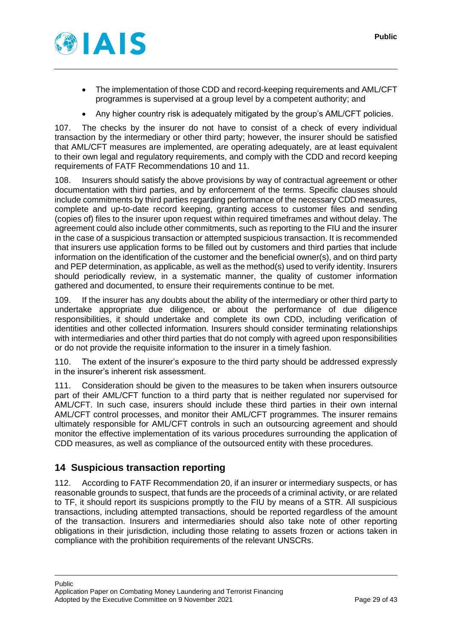

- The implementation of those CDD and record-keeping requirements and AML/CFT programmes is supervised at a group level by a competent authority; and
- Any higher country risk is adequately mitigated by the group's AML/CFT policies.

107. The checks by the insurer do not have to consist of a check of every individual transaction by the intermediary or other third party; however, the insurer should be satisfied that AML/CFT measures are implemented, are operating adequately, are at least equivalent to their own legal and regulatory requirements, and comply with the CDD and record keeping requirements of FATF Recommendations 10 and 11.

108. Insurers should satisfy the above provisions by way of contractual agreement or other documentation with third parties, and by enforcement of the terms. Specific clauses should include commitments by third parties regarding performance of the necessary CDD measures, complete and up-to-date record keeping, granting access to customer files and sending (copies of) files to the insurer upon request within required timeframes and without delay. The agreement could also include other commitments, such as reporting to the FIU and the insurer in the case of a suspicious transaction or attempted suspicious transaction. It is recommended that insurers use application forms to be filled out by customers and third parties that include information on the identification of the customer and the beneficial owner(s), and on third party and PEP determination, as applicable, as well as the method(s) used to verify identity. Insurers should periodically review, in a systematic manner, the quality of customer information gathered and documented, to ensure their requirements continue to be met.

<span id="page-28-1"></span>109. If the insurer has any doubts about the ability of the intermediary or other third party to undertake appropriate due diligence, or about the performance of due diligence responsibilities, it should undertake and complete its own CDD, including verification of identities and other collected information. Insurers should consider terminating relationships with intermediaries and other third parties that do not comply with agreed upon responsibilities or do not provide the requisite information to the insurer in a timely fashion.

110. The extent of the insurer's exposure to the third party should be addressed expressly in the insurer's inherent risk assessment.

111. Consideration should be given to the measures to be taken when insurers outsource part of their AML/CFT function to a third party that is neither regulated nor supervised for AML/CFT. In such case, insurers should include these third parties in their own internal AML/CFT control processes, and monitor their AML/CFT programmes. The insurer remains ultimately responsible for AML/CFT controls in such an outsourcing agreement and should monitor the effective implementation of its various procedures surrounding the application of CDD measures, as well as compliance of the outsourced entity with these procedures.

# <span id="page-28-0"></span>**14 Suspicious transaction reporting**

<span id="page-28-2"></span>112. According to FATF Recommendation 20, if an insurer or intermediary suspects, or has reasonable grounds to suspect, that funds are the proceeds of a criminal activity, or are related to TF, it should report its suspicions promptly to the FIU by means of a STR. All suspicious transactions, including attempted transactions, should be reported regardless of the amount of the transaction. Insurers and intermediaries should also take note of other reporting obligations in their jurisdiction, including those relating to assets frozen or actions taken in compliance with the prohibition requirements of the relevant UNSCRs.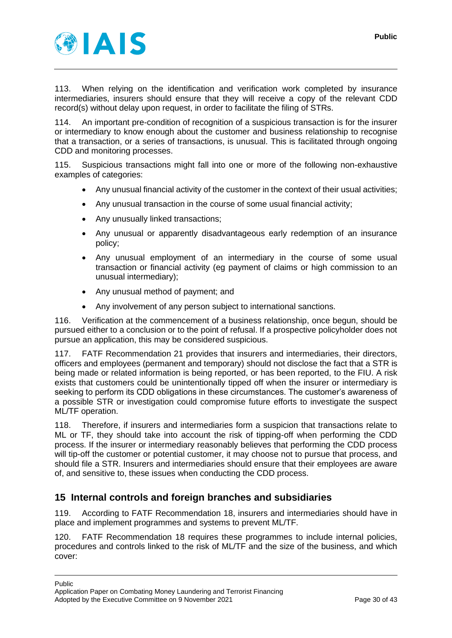

113. When relying on the identification and verification work completed by insurance intermediaries, insurers should ensure that they will receive a copy of the relevant CDD record(s) without delay upon request, in order to facilitate the filing of STRs.

114. An important pre-condition of recognition of a suspicious transaction is for the insurer or intermediary to know enough about the customer and business relationship to recognise that a transaction, or a series of transactions, is unusual. This is facilitated through ongoing CDD and monitoring processes.

115. Suspicious transactions might fall into one or more of the following non-exhaustive examples of categories:

- Any unusual financial activity of the customer in the context of their usual activities;
- Any unusual transaction in the course of some usual financial activity;
- Any unusually linked transactions;
- Any unusual or apparently disadvantageous early redemption of an insurance policy;
- Any unusual employment of an intermediary in the course of some usual transaction or financial activity (eg payment of claims or high commission to an unusual intermediary);
- Any unusual method of payment; and
- Any involvement of any person subject to international sanctions.

116. Verification at the commencement of a business relationship, once begun, should be pursued either to a conclusion or to the point of refusal. If a prospective policyholder does not pursue an application, this may be considered suspicious.

117. FATF Recommendation 21 provides that insurers and intermediaries, their directors, officers and employees (permanent and temporary) should not disclose the fact that a STR is being made or related information is being reported, or has been reported, to the FIU. A risk exists that customers could be unintentionally tipped off when the insurer or intermediary is seeking to perform its CDD obligations in these circumstances. The customer's awareness of a possible STR or investigation could compromise future efforts to investigate the suspect ML/TF operation.

<span id="page-29-1"></span>118. Therefore, if insurers and intermediaries form a suspicion that transactions relate to ML or TF, they should take into account the risk of tipping-off when performing the CDD process. If the insurer or intermediary reasonably believes that performing the CDD process will tip-off the customer or potential customer, it may choose not to pursue that process, and should file a STR. Insurers and intermediaries should ensure that their employees are aware of, and sensitive to, these issues when conducting the CDD process.

## <span id="page-29-0"></span>**15 Internal controls and foreign branches and subsidiaries**

119. According to FATF Recommendation 18, insurers and intermediaries should have in place and implement programmes and systems to prevent ML/TF.

<span id="page-29-2"></span>120. FATF Recommendation 18 requires these programmes to include internal policies, procedures and controls linked to the risk of ML/TF and the size of the business, and which cover: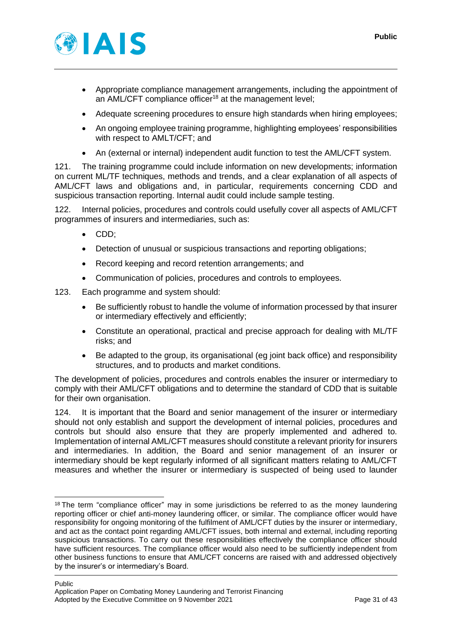

- Appropriate compliance management arrangements, including the appointment of an AML/CFT compliance officer<sup>18</sup> at the management level:
- Adequate screening procedures to ensure high standards when hiring employees;
- An ongoing employee training programme, highlighting employees' responsibilities with respect to AMLT/CFT; and
- An (external or internal) independent audit function to test the AML/CFT system.

121. The training programme could include information on new developments; information on current ML/TF techniques, methods and trends, and a clear explanation of all aspects of AML/CFT laws and obligations and, in particular, requirements concerning CDD and suspicious transaction reporting. Internal audit could include sample testing.

122. Internal policies, procedures and controls could usefully cover all aspects of AML/CFT programmes of insurers and intermediaries, such as:

- CDD;
- Detection of unusual or suspicious transactions and reporting obligations;
- Record keeping and record retention arrangements; and
- Communication of policies, procedures and controls to employees.
- 123. Each programme and system should:
	- Be sufficiently robust to handle the volume of information processed by that insurer or intermediary effectively and efficiently;
	- Constitute an operational, practical and precise approach for dealing with ML/TF risks; and
	- Be adapted to the group, its organisational (eg joint back office) and responsibility structures, and to products and market conditions.

The development of policies, procedures and controls enables the insurer or intermediary to comply with their AML/CFT obligations and to determine the standard of CDD that is suitable for their own organisation.

124. It is important that the Board and senior management of the insurer or intermediary should not only establish and support the development of internal policies, procedures and controls but should also ensure that they are properly implemented and adhered to. Implementation of internal AML/CFT measures should constitute a relevant priority for insurers and intermediaries. In addition, the Board and senior management of an insurer or intermediary should be kept regularly informed of all significant matters relating to AML/CFT measures and whether the insurer or intermediary is suspected of being used to launder

<sup>&</sup>lt;sup>18</sup> The term "compliance officer" may in some jurisdictions be referred to as the money laundering reporting officer or chief anti-money laundering officer, or similar. The compliance officer would have responsibility for ongoing monitoring of the fulfilment of AML/CFT duties by the insurer or intermediary, and act as the contact point regarding AML/CFT issues, both internal and external, including reporting suspicious transactions. To carry out these responsibilities effectively the compliance officer should have sufficient resources. The compliance officer would also need to be sufficiently independent from other business functions to ensure that AML/CFT concerns are raised with and addressed objectively by the insurer's or intermediary's Board.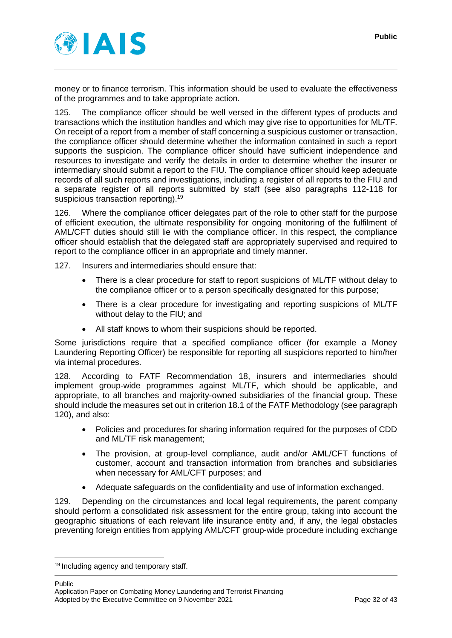

money or to finance terrorism. This information should be used to evaluate the effectiveness of the programmes and to take appropriate action.

125. The compliance officer should be well versed in the different types of products and transactions which the institution handles and which may give rise to opportunities for ML/TF. On receipt of a report from a member of staff concerning a suspicious customer or transaction, the compliance officer should determine whether the information contained in such a report supports the suspicion. The compliance officer should have sufficient independence and resources to investigate and verify the details in order to determine whether the insurer or intermediary should submit a report to the FIU. The compliance officer should keep adequate records of all such reports and investigations, including a register of all reports to the FIU and a separate register of all reports submitted by staff (see also paragraphs [112](#page-28-2)[-118](#page-29-1) for suspicious transaction reporting).<sup>19</sup>

126. Where the compliance officer delegates part of the role to other staff for the purpose of efficient execution, the ultimate responsibility for ongoing monitoring of the fulfilment of AML/CFT duties should still lie with the compliance officer. In this respect, the compliance officer should establish that the delegated staff are appropriately supervised and required to report to the compliance officer in an appropriate and timely manner.

127. Insurers and intermediaries should ensure that:

- There is a clear procedure for staff to report suspicions of ML/TF without delay to the compliance officer or to a person specifically designated for this purpose;
- There is a clear procedure for investigating and reporting suspicions of ML/TF without delay to the FIU; and
- All staff knows to whom their suspicions should be reported.

Some jurisdictions require that a specified compliance officer (for example a Money Laundering Reporting Officer) be responsible for reporting all suspicions reported to him/her via internal procedures.

128. According to FATF Recommendation 18, insurers and intermediaries should implement group-wide programmes against ML/TF, which should be applicable, and appropriate, to all branches and majority-owned subsidiaries of the financial group. These should include the measures set out in criterion 18.1 of the FATF Methodology (see paragraph [120\)](#page-29-2), and also:

- Policies and procedures for sharing information required for the purposes of CDD and ML/TF risk management;
- The provision, at group-level compliance, audit and/or AML/CFT functions of customer, account and transaction information from branches and subsidiaries when necessary for AML/CFT purposes; and
- Adequate safeguards on the confidentiality and use of information exchanged.

129. Depending on the circumstances and local legal requirements, the parent company should perform a consolidated risk assessment for the entire group, taking into account the geographic situations of each relevant life insurance entity and, if any, the legal obstacles preventing foreign entities from applying AML/CFT group-wide procedure including exchange

Public

<sup>&</sup>lt;sup>19</sup> Including agency and temporary staff.

Application Paper on Combating Money Laundering and Terrorist Financing Adopted by the Executive Committee on 9 November 2021 Page 32 of 43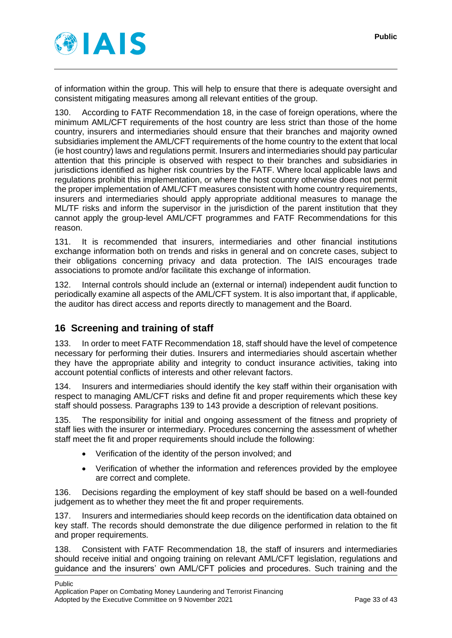

of information within the group. This will help to ensure that there is adequate oversight and consistent mitigating measures among all relevant entities of the group.

130. According to FATF Recommendation 18, in the case of foreign operations, where the minimum AML/CFT requirements of the host country are less strict than those of the home country, insurers and intermediaries should ensure that their branches and majority owned subsidiaries implement the AML/CFT requirements of the home country to the extent that local (ie host country) laws and regulations permit. Insurers and intermediaries should pay particular attention that this principle is observed with respect to their branches and subsidiaries in jurisdictions identified as higher risk countries by the FATF. Where local applicable laws and regulations prohibit this implementation, or where the host country otherwise does not permit the proper implementation of AML/CFT measures consistent with home country requirements, insurers and intermediaries should apply appropriate additional measures to manage the ML/TF risks and inform the supervisor in the jurisdiction of the parent institution that they cannot apply the group-level AML/CFT programmes and FATF Recommendations for this reason.

131. It is recommended that insurers, intermediaries and other financial institutions exchange information both on trends and risks in general and on concrete cases, subject to their obligations concerning privacy and data protection. The IAIS encourages trade associations to promote and/or facilitate this exchange of information.

132. Internal controls should include an (external or internal) independent audit function to periodically examine all aspects of the AML/CFT system. It is also important that, if applicable, the auditor has direct access and reports directly to management and the Board.

# <span id="page-32-0"></span>**16 Screening and training of staff**

133. In order to meet FATF Recommendation 18, staff should have the level of competence necessary for performing their duties. Insurers and intermediaries should ascertain whether they have the appropriate ability and integrity to conduct insurance activities, taking into account potential conflicts of interests and other relevant factors.

134. Insurers and intermediaries should identify the key staff within their organisation with respect to managing AML/CFT risks and define fit and proper requirements which these key staff should possess. Paragraphs [139](#page-33-0) to [143](#page-33-1) provide a description of relevant positions.

135. The responsibility for initial and ongoing assessment of the fitness and propriety of staff lies with the insurer or intermediary. Procedures concerning the assessment of whether staff meet the fit and proper requirements should include the following:

- Verification of the identity of the person involved; and
- Verification of whether the information and references provided by the employee are correct and complete.

136. Decisions regarding the employment of key staff should be based on a well-founded judgement as to whether they meet the fit and proper requirements.

137. Insurers and intermediaries should keep records on the identification data obtained on key staff. The records should demonstrate the due diligence performed in relation to the fit and proper requirements.

138. Consistent with FATF Recommendation 18, the staff of insurers and intermediaries should receive initial and ongoing training on relevant AML/CFT legislation, regulations and guidance and the insurers' own AML/CFT policies and procedures. Such training and the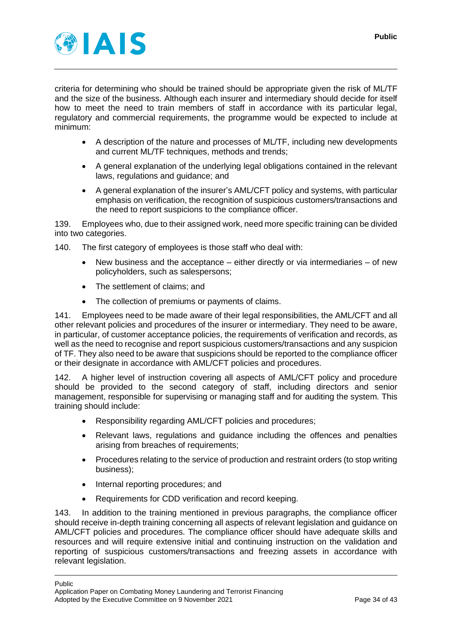

criteria for determining who should be trained should be appropriate given the risk of ML/TF and the size of the business. Although each insurer and intermediary should decide for itself how to meet the need to train members of staff in accordance with its particular legal, regulatory and commercial requirements, the programme would be expected to include at minimum:

- A description of the nature and processes of ML/TF, including new developments and current ML/TF techniques, methods and trends;
- A general explanation of the underlying legal obligations contained in the relevant laws, regulations and guidance; and
- A general explanation of the insurer's AML/CFT policy and systems, with particular emphasis on verification, the recognition of suspicious customers/transactions and the need to report suspicions to the compliance officer.

<span id="page-33-0"></span>139. Employees who, due to their assigned work, need more specific training can be divided into two categories.

140. The first category of employees is those staff who deal with:

- New business and the acceptance either directly or via intermediaries of new policyholders, such as salespersons;
- The settlement of claims; and
- The collection of premiums or payments of claims.

141. Employees need to be made aware of their legal responsibilities, the AML/CFT and all other relevant policies and procedures of the insurer or intermediary. They need to be aware, in particular, of customer acceptance policies, the requirements of verification and records, as well as the need to recognise and report suspicious customers/transactions and any suspicion of TF. They also need to be aware that suspicions should be reported to the compliance officer or their designate in accordance with AML/CFT policies and procedures.

142. A higher level of instruction covering all aspects of AML/CFT policy and procedure should be provided to the second category of staff, including directors and senior management, responsible for supervising or managing staff and for auditing the system. This training should include:

- Responsibility regarding AML/CFT policies and procedures;
- Relevant laws, regulations and guidance including the offences and penalties arising from breaches of requirements;
- Procedures relating to the service of production and restraint orders (to stop writing business);
- Internal reporting procedures; and
- Requirements for CDD verification and record keeping.

<span id="page-33-1"></span>143. In addition to the training mentioned in previous paragraphs, the compliance officer should receive in-depth training concerning all aspects of relevant legislation and guidance on AML/CFT policies and procedures. The compliance officer should have adequate skills and resources and will require extensive initial and continuing instruction on the validation and reporting of suspicious customers/transactions and freezing assets in accordance with relevant legislation.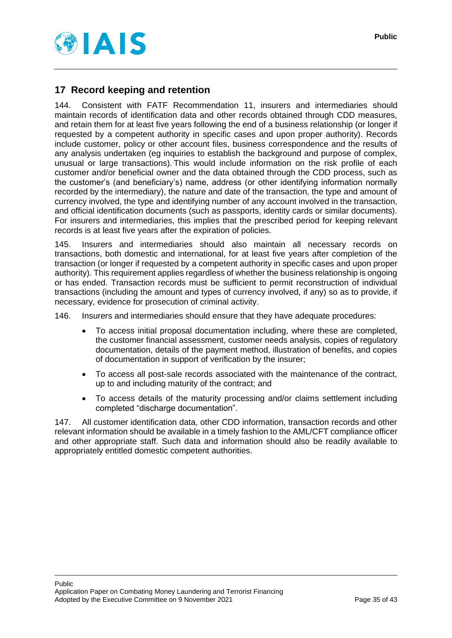



## <span id="page-34-0"></span>**17 Record keeping and retention**

<span id="page-34-1"></span>144. Consistent with FATF Recommendation 11, insurers and intermediaries should maintain records of identification data and other records obtained through CDD measures, and retain them for at least five years following the end of a business relationship (or longer if requested by a competent authority in specific cases and upon proper authority). Records include customer, policy or other account files, business correspondence and the results of any analysis undertaken (eg inquiries to establish the background and purpose of complex, unusual or large transactions). This would include information on the risk profile of each customer and/or beneficial owner and the data obtained through the CDD process, such as the customer's (and beneficiary's) name, address (or other identifying information normally recorded by the intermediary), the nature and date of the transaction, the type and amount of currency involved, the type and identifying number of any account involved in the transaction, and official identification documents (such as passports, identity cards or similar documents). For insurers and intermediaries, this implies that the prescribed period for keeping relevant records is at least five years after the expiration of policies.

145. Insurers and intermediaries should also maintain all necessary records on transactions, both domestic and international, for at least five years after completion of the transaction (or longer if requested by a competent authority in specific cases and upon proper authority). This requirement applies regardless of whether the business relationship is ongoing or has ended. Transaction records must be sufficient to permit reconstruction of individual transactions (including the amount and types of currency involved, if any) so as to provide, if necessary, evidence for prosecution of criminal activity.

146. Insurers and intermediaries should ensure that they have adequate procedures:

- To access initial proposal documentation including, where these are completed, the customer financial assessment, customer needs analysis, copies of regulatory documentation, details of the payment method, illustration of benefits, and copies of documentation in support of verification by the insurer;
- To access all post-sale records associated with the maintenance of the contract, up to and including maturity of the contract; and
- To access details of the maturity processing and/or claims settlement including completed "discharge documentation".

<span id="page-34-2"></span>147. All customer identification data, other CDD information, transaction records and other relevant information should be available in a timely fashion to the AML/CFT compliance officer and other appropriate staff. Such data and information should also be readily available to appropriately entitled domestic competent authorities.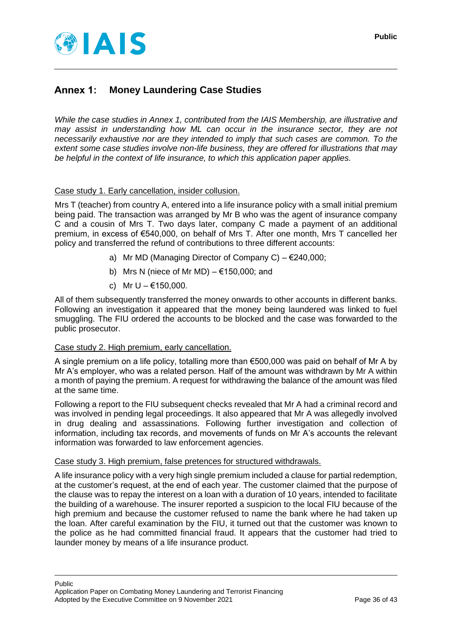

#### <span id="page-35-0"></span>Annex 1: **Money Laundering Case Studies**

*While the case studies in Annex 1, contributed from the IAIS Membership, are illustrative and may assist in understanding how ML can occur in the insurance sector, they are not necessarily exhaustive nor are they intended to imply that such cases are common. To the extent some case studies involve non-life business, they are offered for illustrations that may be helpful in the context of life insurance, to which this application paper applies.*

#### Case study 1. Early cancellation, insider collusion.

Mrs T (teacher) from country A, entered into a life insurance policy with a small initial premium being paid. The transaction was arranged by Mr B who was the agent of insurance company C and a cousin of Mrs T. Two days later, company C made a payment of an additional premium, in excess of €540,000, on behalf of Mrs T. After one month, Mrs T cancelled her policy and transferred the refund of contributions to three different accounts:

- a) Mr MD (Managing Director of Company C)  $\epsilon$ 240,000;
- b) Mrs N (niece of Mr MD)  $€150,000$ ; and
- c) Mr U €150,000.

All of them subsequently transferred the money onwards to other accounts in different banks. Following an investigation it appeared that the money being laundered was linked to fuel smuggling. The FIU ordered the accounts to be blocked and the case was forwarded to the public prosecutor.

#### Case study 2. High premium, early cancellation.

A single premium on a life policy, totalling more than €500,000 was paid on behalf of Mr A by Mr A's employer, who was a related person. Half of the amount was withdrawn by Mr A within a month of paying the premium. A request for withdrawing the balance of the amount was filed at the same time.

Following a report to the FIU subsequent checks revealed that Mr A had a criminal record and was involved in pending legal proceedings. It also appeared that Mr A was allegedly involved in drug dealing and assassinations. Following further investigation and collection of information, including tax records, and movements of funds on Mr A's accounts the relevant information was forwarded to law enforcement agencies.

#### Case study 3. High premium, false pretences for structured withdrawals.

A life insurance policy with a very high single premium included a clause for partial redemption, at the customer's request, at the end of each year. The customer claimed that the purpose of the clause was to repay the interest on a loan with a duration of 10 years, intended to facilitate the building of a warehouse. The insurer reported a suspicion to the local FIU because of the high premium and because the customer refused to name the bank where he had taken up the loan. After careful examination by the FIU, it turned out that the customer was known to the police as he had committed financial fraud. It appears that the customer had tried to launder money by means of a life insurance product.

Public Application Paper on Combating Money Laundering and Terrorist Financing Adopted by the Executive Committee on 9 November 2021 Page 36 of 43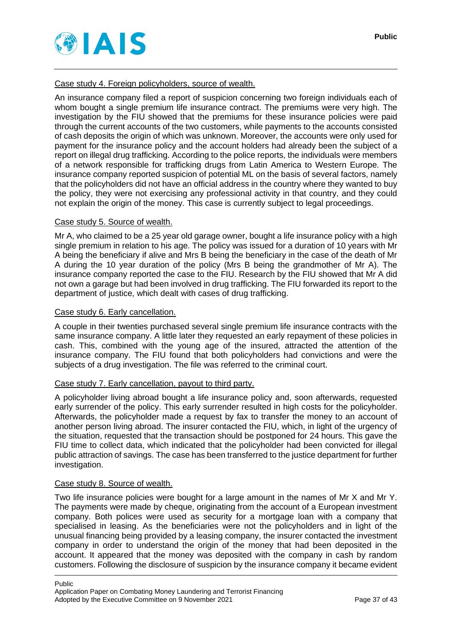

Case study 4. Foreign policyholders, source of wealth.

An insurance company filed a report of suspicion concerning two foreign individuals each of whom bought a single premium life insurance contract. The premiums were very high. The investigation by the FIU showed that the premiums for these insurance policies were paid through the current accounts of the two customers, while payments to the accounts consisted of cash deposits the origin of which was unknown. Moreover, the accounts were only used for payment for the insurance policy and the account holders had already been the subject of a report on illegal drug trafficking. According to the police reports, the individuals were members of a network responsible for trafficking drugs from Latin America to Western Europe. The insurance company reported suspicion of potential ML on the basis of several factors, namely that the policyholders did not have an official address in the country where they wanted to buy the policy, they were not exercising any professional activity in that country, and they could not explain the origin of the money. This case is currently subject to legal proceedings.

#### Case study 5. Source of wealth.

Mr A, who claimed to be a 25 year old garage owner, bought a life insurance policy with a high single premium in relation to his age. The policy was issued for a duration of 10 years with Mr A being the beneficiary if alive and Mrs B being the beneficiary in the case of the death of Mr A during the 10 year duration of the policy (Mrs B being the grandmother of Mr A). The insurance company reported the case to the FIU. Research by the FIU showed that Mr A did not own a garage but had been involved in drug trafficking. The FIU forwarded its report to the department of justice, which dealt with cases of drug trafficking.

#### Case study 6. Early cancellation.

A couple in their twenties purchased several single premium life insurance contracts with the same insurance company. A little later they requested an early repayment of these policies in cash. This, combined with the young age of the insured, attracted the attention of the insurance company. The FIU found that both policyholders had convictions and were the subjects of a drug investigation. The file was referred to the criminal court.

#### Case study 7. Early cancellation, payout to third party.

A policyholder living abroad bought a life insurance policy and, soon afterwards, requested early surrender of the policy. This early surrender resulted in high costs for the policyholder. Afterwards, the policyholder made a request by fax to transfer the money to an account of another person living abroad. The insurer contacted the FIU, which, in light of the urgency of the situation, requested that the transaction should be postponed for 24 hours. This gave the FIU time to collect data, which indicated that the policyholder had been convicted for illegal public attraction of savings. The case has been transferred to the justice department for further investigation.

#### Case study 8. Source of wealth.

Two life insurance policies were bought for a large amount in the names of Mr X and Mr Y. The payments were made by cheque, originating from the account of a European investment company. Both polices were used as security for a mortgage loan with a company that specialised in leasing. As the beneficiaries were not the policyholders and in light of the unusual financing being provided by a leasing company, the insurer contacted the investment company in order to understand the origin of the money that had been deposited in the account. It appeared that the money was deposited with the company in cash by random customers. Following the disclosure of suspicion by the insurance company it became evident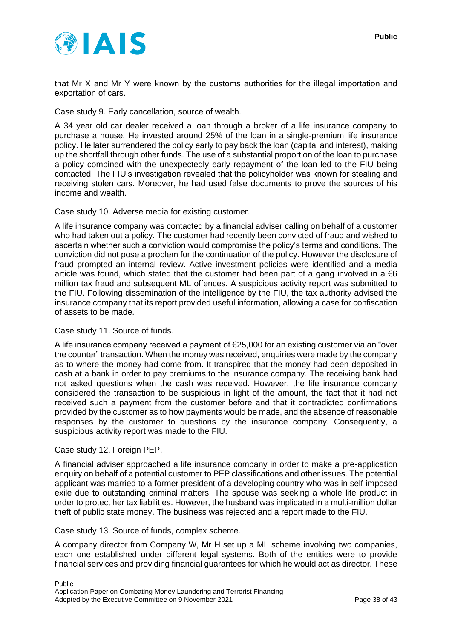

that Mr X and Mr Y were known by the customs authorities for the illegal importation and exportation of cars.

#### Case study 9. Early cancellation, source of wealth.

A 34 year old car dealer received a loan through a broker of a life insurance company to purchase a house. He invested around 25% of the loan in a single-premium life insurance policy. He later surrendered the policy early to pay back the loan (capital and interest), making up the shortfall through other funds. The use of a substantial proportion of the loan to purchase a policy combined with the unexpectedly early repayment of the loan led to the FIU being contacted. The FIU's investigation revealed that the policyholder was known for stealing and receiving stolen cars. Moreover, he had used false documents to prove the sources of his income and wealth.

#### Case study 10. Adverse media for existing customer.

A life insurance company was contacted by a financial adviser calling on behalf of a customer who had taken out a policy. The customer had recently been convicted of fraud and wished to ascertain whether such a conviction would compromise the policy's terms and conditions. The conviction did not pose a problem for the continuation of the policy. However the disclosure of fraud prompted an internal review. Active investment policies were identified and a media article was found, which stated that the customer had been part of a gang involved in a  $\epsilon$ 6 million tax fraud and subsequent ML offences. A suspicious activity report was submitted to the FIU. Following dissemination of the intelligence by the FIU, the tax authority advised the insurance company that its report provided useful information, allowing a case for confiscation of assets to be made.

#### Case study 11. Source of funds.

A life insurance company received a payment of €25,000 for an existing customer via an "over the counter" transaction. When the money was received, enquiries were made by the company as to where the money had come from. It transpired that the money had been deposited in cash at a bank in order to pay premiums to the insurance company. The receiving bank had not asked questions when the cash was received. However, the life insurance company considered the transaction to be suspicious in light of the amount, the fact that it had not received such a payment from the customer before and that it contradicted confirmations provided by the customer as to how payments would be made, and the absence of reasonable responses by the customer to questions by the insurance company. Consequently, a suspicious activity report was made to the FIU.

#### Case study 12. Foreign PEP.

A financial adviser approached a life insurance company in order to make a pre-application enquiry on behalf of a potential customer to PEP classifications and other issues. The potential applicant was married to a former president of a developing country who was in self-imposed exile due to outstanding criminal matters. The spouse was seeking a whole life product in order to protect her tax liabilities. However, the husband was implicated in a multi-million dollar theft of public state money. The business was rejected and a report made to the FIU.

#### Case study 13. Source of funds, complex scheme.

A company director from Company W, Mr H set up a ML scheme involving two companies, each one established under different legal systems. Both of the entities were to provide financial services and providing financial guarantees for which he would act as director. These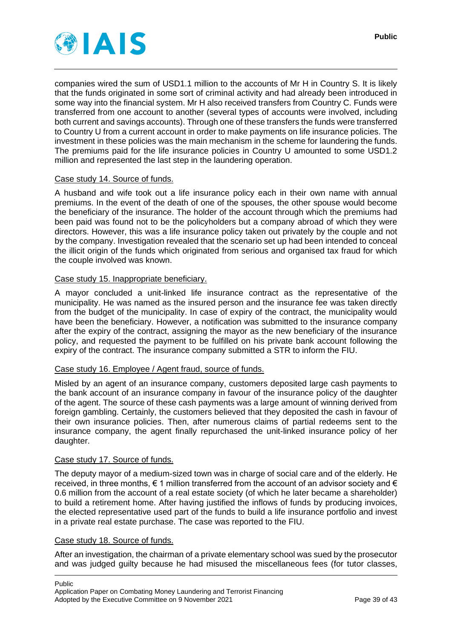

companies wired the sum of USD1.1 million to the accounts of Mr H in Country S. It is likely that the funds originated in some sort of criminal activity and had already been introduced in some way into the financial system. Mr H also received transfers from Country C. Funds were transferred from one account to another (several types of accounts were involved, including both current and savings accounts). Through one of these transfers the funds were transferred to Country U from a current account in order to make payments on life insurance policies. The investment in these policies was the main mechanism in the scheme for laundering the funds. The premiums paid for the life insurance policies in Country U amounted to some USD1.2 million and represented the last step in the laundering operation.

#### Case study 14. Source of funds.

A husband and wife took out a life insurance policy each in their own name with annual premiums. In the event of the death of one of the spouses, the other spouse would become the beneficiary of the insurance. The holder of the account through which the premiums had been paid was found not to be the policyholders but a company abroad of which they were directors. However, this was a life insurance policy taken out privately by the couple and not by the company. Investigation revealed that the scenario set up had been intended to conceal the illicit origin of the funds which originated from serious and organised tax fraud for which the couple involved was known.

#### Case study 15. Inappropriate beneficiary.

A mayor concluded a unit-linked life insurance contract as the representative of the municipality. He was named as the insured person and the insurance fee was taken directly from the budget of the municipality. In case of expiry of the contract, the municipality would have been the beneficiary. However, a notification was submitted to the insurance company after the expiry of the contract, assigning the mayor as the new beneficiary of the insurance policy, and requested the payment to be fulfilled on his private bank account following the expiry of the contract. The insurance company submitted a STR to inform the FIU.

#### Case study 16. Employee / Agent fraud, source of funds.

Misled by an agent of an insurance company, customers deposited large cash payments to the bank account of an insurance company in favour of the insurance policy of the daughter of the agent. The source of these cash payments was a large amount of winning derived from foreign gambling. Certainly, the customers believed that they deposited the cash in favour of their own insurance policies. Then, after numerous claims of partial redeems sent to the insurance company, the agent finally repurchased the unit-linked insurance policy of her daughter.

#### Case study 17. Source of funds.

The deputy mayor of a medium-sized town was in charge of social care and of the elderly. He received, in three months,  $\epsilon$  1 million transferred from the account of an advisor society and  $\epsilon$ 0.6 million from the account of a real estate society (of which he later became a shareholder) to build a retirement home. After having justified the inflows of funds by producing invoices, the elected representative used part of the funds to build a life insurance portfolio and invest in a private real estate purchase. The case was reported to the FIU.

#### Case study 18. Source of funds.

After an investigation, the chairman of a private elementary school was sued by the prosecutor and was judged guilty because he had misused the miscellaneous fees (for tutor classes,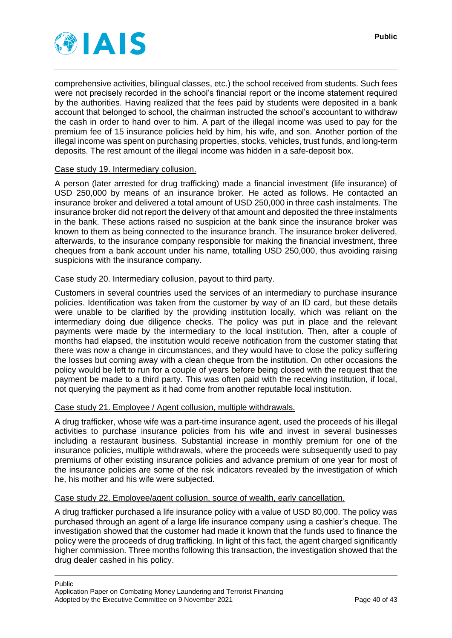

comprehensive activities, bilingual classes, etc.) the school received from students. Such fees were not precisely recorded in the school's financial report or the income statement required by the authorities. Having realized that the fees paid by students were deposited in a bank account that belonged to school, the chairman instructed the school's accountant to withdraw the cash in order to hand over to him. A part of the illegal income was used to pay for the premium fee of 15 insurance policies held by him, his wife, and son. Another portion of the illegal income was spent on purchasing properties, stocks, vehicles, trust funds, and long-term deposits. The rest amount of the illegal income was hidden in a safe-deposit box.

#### Case study 19. Intermediary collusion.

A person (later arrested for drug trafficking) made a financial investment (life insurance) of USD 250,000 by means of an insurance broker. He acted as follows. He contacted an insurance broker and delivered a total amount of USD 250,000 in three cash instalments. The insurance broker did not report the delivery of that amount and deposited the three instalments in the bank. These actions raised no suspicion at the bank since the insurance broker was known to them as being connected to the insurance branch. The insurance broker delivered, afterwards, to the insurance company responsible for making the financial investment, three cheques from a bank account under his name, totalling USD 250,000, thus avoiding raising suspicions with the insurance company.

#### Case study 20. Intermediary collusion, payout to third party.

Customers in several countries used the services of an intermediary to purchase insurance policies. Identification was taken from the customer by way of an ID card, but these details were unable to be clarified by the providing institution locally, which was reliant on the intermediary doing due diligence checks. The policy was put in place and the relevant payments were made by the intermediary to the local institution. Then, after a couple of months had elapsed, the institution would receive notification from the customer stating that there was now a change in circumstances, and they would have to close the policy suffering the losses but coming away with a clean cheque from the institution. On other occasions the policy would be left to run for a couple of years before being closed with the request that the payment be made to a third party. This was often paid with the receiving institution, if local, not querying the payment as it had come from another reputable local institution.

#### Case study 21. Employee / Agent collusion, multiple withdrawals.

A drug trafficker, whose wife was a part-time insurance agent, used the proceeds of his illegal activities to purchase insurance policies from his wife and invest in several businesses including a restaurant business. Substantial increase in monthly premium for one of the insurance policies, multiple withdrawals, where the proceeds were subsequently used to pay premiums of other existing insurance policies and advance premium of one year for most of the insurance policies are some of the risk indicators revealed by the investigation of which he, his mother and his wife were subjected.

#### Case study 22. Employee/agent collusion, source of wealth, early cancellation.

A drug trafficker purchased a life insurance policy with a value of USD 80,000. The policy was purchased through an agent of a large life insurance company using a cashier's cheque. The investigation showed that the customer had made it known that the funds used to finance the policy were the proceeds of drug trafficking. In light of this fact, the agent charged significantly higher commission. Three months following this transaction, the investigation showed that the drug dealer cashed in his policy.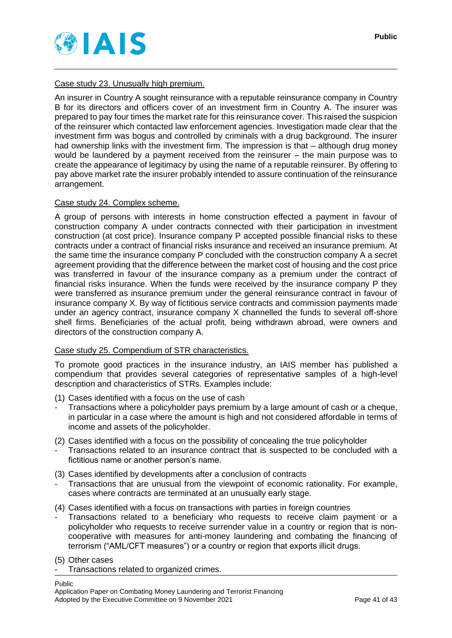

An insurer in Country A sought reinsurance with a reputable reinsurance company in Country B for its directors and officers cover of an investment firm in Country A. The insurer was prepared to pay four times the market rate for this reinsurance cover. This raised the suspicion of the reinsurer which contacted law enforcement agencies. Investigation made clear that the investment firm was bogus and controlled by criminals with a drug background. The insurer had ownership links with the investment firm. The impression is that – although drug money would be laundered by a payment received from the reinsurer – the main purpose was to create the appearance of legitimacy by using the name of a reputable reinsurer. By offering to pay above market rate the insurer probably intended to assure continuation of the reinsurance arrangement.

## Case study 24. Complex scheme.

A group of persons with interests in home construction effected a payment in favour of construction company A under contracts connected with their participation in investment construction (at cost price). Insurance company P accepted possible financial risks to these contracts under a contract of financial risks insurance and received an insurance premium. At the same time the insurance company P concluded with the construction company A a secret agreement providing that the difference between the market cost of housing and the cost price was transferred in favour of the insurance company as a premium under the contract of financial risks insurance. When the funds were received by the insurance company P they were transferred as insurance premium under the general reinsurance contract in favour of insurance company X. By way of fictitious service contracts and commission payments made under an agency contract, insurance company X channelled the funds to several off-shore shell firms. Beneficiaries of the actual profit, being withdrawn abroad, were owners and directors of the construction company A.

#### Case study 25. Compendium of STR characteristics.

To promote good practices in the insurance industry, an IAIS member has published a compendium that provides several categories of representative samples of a high-level description and characteristics of STRs. Examples include:

- (1) Cases identified with a focus on the use of cash
- Transactions where a policyholder pays premium by a large amount of cash or a cheque, in particular in a case where the amount is high and not considered affordable in terms of income and assets of the policyholder.
- (2) Cases identified with a focus on the possibility of concealing the true policyholder
- Transactions related to an insurance contract that is suspected to be concluded with a fictitious name or another person's name.
- (3) Cases identified by developments after a conclusion of contracts
- Transactions that are unusual from the viewpoint of economic rationality. For example, cases where contracts are terminated at an unusually early stage.
- (4) Cases identified with a focus on transactions with parties in foreign countries
- Transactions related to a beneficiary who requests to receive claim payment or a policyholder who requests to receive surrender value in a country or region that is noncooperative with measures for anti-money laundering and combating the financing of terrorism ("AML/CFT measures") or a country or region that exports illicit drugs.

(5) Other cases

Transactions related to organized crimes.

Public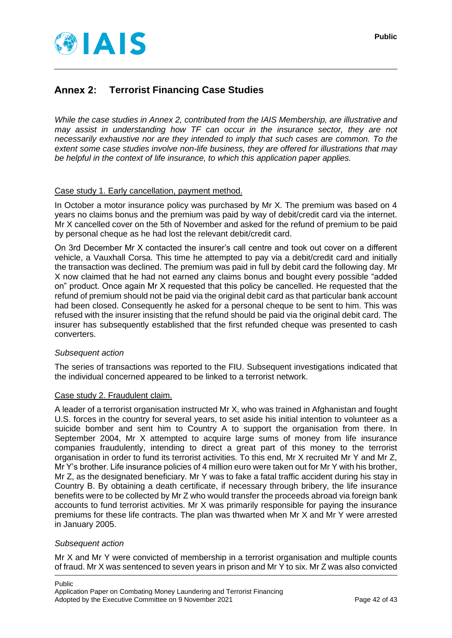

#### <span id="page-41-0"></span>Annex 2: **Terrorist Financing Case Studies**

*While the case studies in Annex 2, contributed from the IAIS Membership, are illustrative and may assist in understanding how TF can occur in the insurance sector, they are not necessarily exhaustive nor are they intended to imply that such cases are common. To the extent some case studies involve non-life business, they are offered for illustrations that may be helpful in the context of life insurance, to which this application paper applies.*

#### Case study 1. Early cancellation, payment method.

In October a motor insurance policy was purchased by Mr X. The premium was based on 4 years no claims bonus and the premium was paid by way of debit/credit card via the internet. Mr X cancelled cover on the 5th of November and asked for the refund of premium to be paid by personal cheque as he had lost the relevant debit/credit card.

On 3rd December Mr X contacted the insurer's call centre and took out cover on a different vehicle, a Vauxhall Corsa. This time he attempted to pay via a debit/credit card and initially the transaction was declined. The premium was paid in full by debit card the following day. Mr X now claimed that he had not earned any claims bonus and bought every possible "added on" product. Once again Mr X requested that this policy be cancelled. He requested that the refund of premium should not be paid via the original debit card as that particular bank account had been closed. Consequently he asked for a personal cheque to be sent to him. This was refused with the insurer insisting that the refund should be paid via the original debit card. The insurer has subsequently established that the first refunded cheque was presented to cash converters.

#### *Subsequent action*

The series of transactions was reported to the FIU. Subsequent investigations indicated that the individual concerned appeared to be linked to a terrorist network.

#### Case study 2. Fraudulent claim.

A leader of a terrorist organisation instructed Mr X, who was trained in Afghanistan and fought U.S. forces in the country for several years, to set aside his initial intention to volunteer as a suicide bomber and sent him to Country A to support the organisation from there. In September 2004, Mr X attempted to acquire large sums of money from life insurance companies fraudulently, intending to direct a great part of this money to the terrorist organisation in order to fund its terrorist activities. To this end, Mr X recruited Mr Y and Mr Z, Mr Y's brother. Life insurance policies of 4 million euro were taken out for Mr Y with his brother, Mr Z, as the designated beneficiary. Mr Y was to fake a fatal traffic accident during his stay in Country B. By obtaining a death certificate, if necessary through bribery, the life insurance benefits were to be collected by Mr Z who would transfer the proceeds abroad via foreign bank accounts to fund terrorist activities. Mr X was primarily responsible for paying the insurance premiums for these life contracts. The plan was thwarted when Mr X and Mr Y were arrested in January 2005.

#### *Subsequent action*

Mr X and Mr Y were convicted of membership in a terrorist organisation and multiple counts of fraud. Mr X was sentenced to seven years in prison and Mr Y to six. Mr Z was also convicted